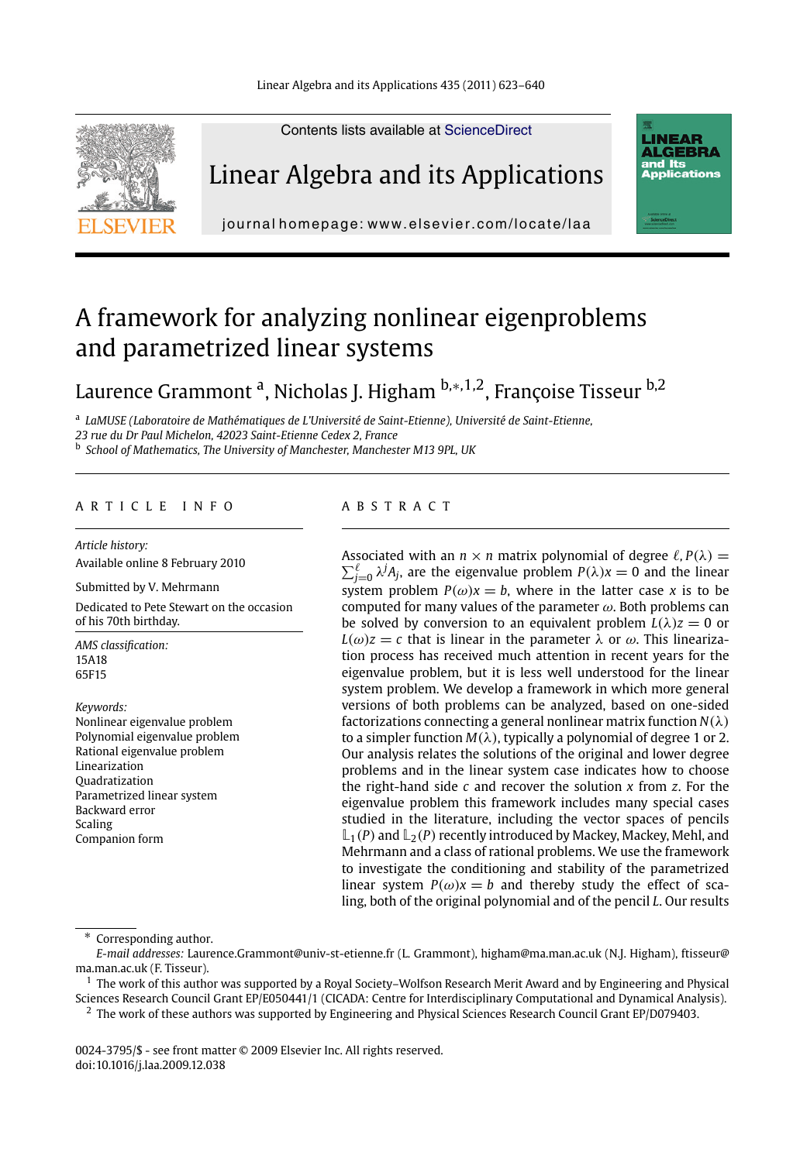Linear Algebra and its Applications 435 (2011) 623–640



Linear Algebra and its Applications

Contents lists available at ScienceDirect



journal homepage: www.elsevier.com/locate/laa

# A framework for analyzing nonlinear eigenproblems and parametrized linear systems

Laurence Grammont a, Nicholas J. Higham <sup>b</sup>*,*∗*,*1*,*2, Françoise Tisseur b,2

<sup>a</sup> *LaMUSE (Laboratoire de Mathématiques de L'Université de Saint-Etienne), Université de Saint-Etienne, 23 rue du Dr Paul Michelon, 42023 Saint-Etienne Cedex 2, France*

<sup>b</sup> *School of Mathematics, The University of Manchester, Manchester M13 9PL, UK*

## ARTICLE INFO ABSTRACT

*Article history:* Available online 8 February 2010

Submitted by V. Mehrmann Dedicated to Pete Stewart on the occasion of his 70th birthday.

*AMS classification:* 15A18 65F15

*Keywords:* Nonlinear eigenvalue problem Polynomial eigenvalue problem Rational eigenvalue problem Linearization Quadratization Parametrized linear system Backward error Scaling Companion form

Associated with an  $n \times n$  matrix polynomial of degree  $\ell$ ,  $P(\lambda) = \sum_{\lambda} \ell$  i.14. are the eigenvalue problem  $P(\lambda) = 0$  and the linear  $\sum_{j=0}^{\ell} \lambda^{j} A_{j}$ , are the eigenvalue problem  $P(\lambda)x=0$  and the linear system problem  $P(\omega)x = b$ , where in the latter case *x* is to be computed for many values of the parameter  $\omega$ . Both problems can be solved by conversion to an equivalent problem  $L(\lambda)z = 0$  or  $L(\omega)z = c$  that is linear in the parameter  $\lambda$  or  $\omega$ . This linearization process has received much attention in recent years for the eigenvalue problem, but it is less well understood for the linear system problem. We develop a framework in which more general versions of both problems can be analyzed, based on one-sided factorizations connecting a general nonlinear matrix function *N*(λ) to a simpler function  $M(\lambda)$ , typically a polynomial of degree 1 or 2. Our analysis relates the solutions of the original and lower degree problems and in the linear system case indicates how to choose the right-hand side *c* and recover the solution *x* from *z*. For the eigenvalue problem this framework includes many special cases studied in the literature, including the vector spaces of pencils  $\mathbb{L}_1(P)$  and  $\mathbb{L}_2(P)$  recently introduced by Mackey, Mackey, Mehl, and Mehrmann and a class of rational problems. We use the framework to investigate the conditioning and stability of the parametrized linear system  $P(\omega)x = b$  and thereby study the effect of scaling, both of the original polynomial and of the pencil *L*. Our results

Corresponding author.

*E-mail addresses:* Laurence.Grammont@univ-st-etienne.fr (L. Grammont), higham@ma.man.ac.uk (N.J. Higham), ftisseur@ ma.man.ac.uk (F. Tisseur).

<sup>1</sup> The work of this author was supported by a Royal Society–Wolfson Research Merit Award and by Engineering and Physical Sciences Research Council Grant EP/E050441/1 (CICADA: Centre for Interdisciplinary Computational and Dynamical Analysis). <sup>2</sup> The work of these authors was supported by Engineering and Physical Sciences Research Council Grant EP/D079403.

0024-3795/\$ - see front matter © 2009 Elsevier Inc. All rights reserved. doi:10.1016/j.laa.2009.12.038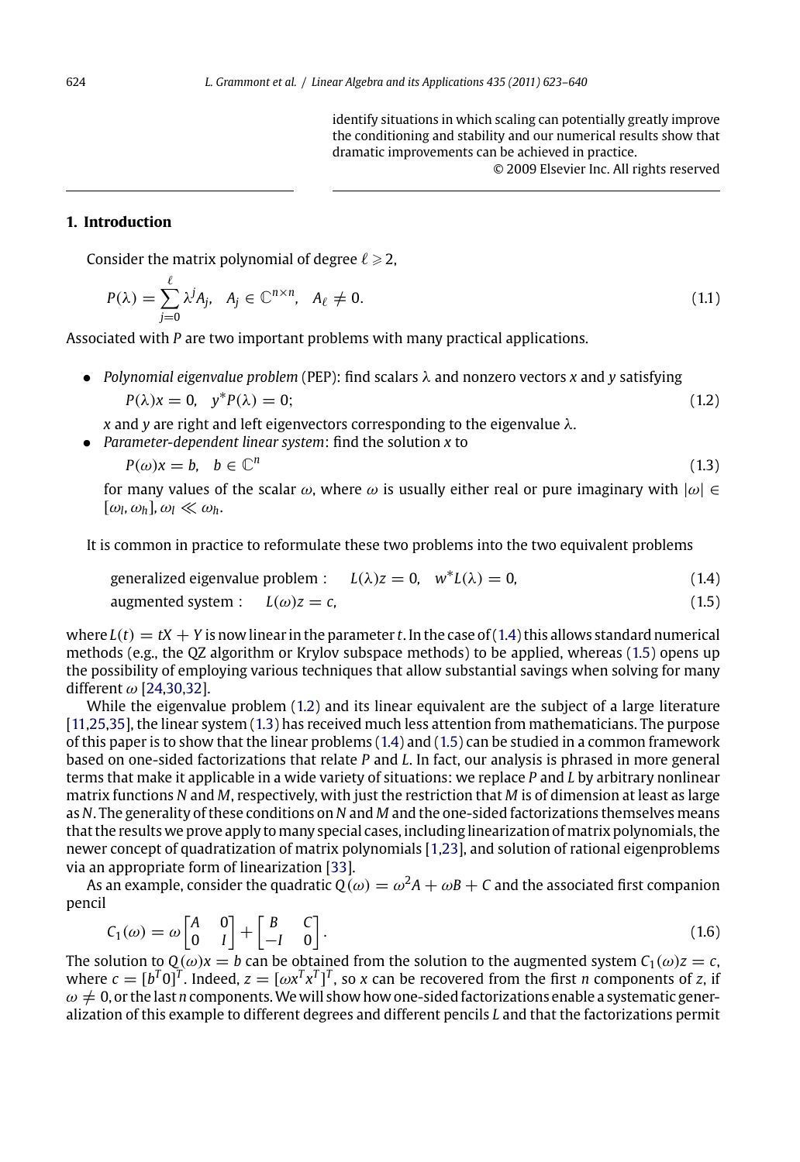identify situations in which scaling can potentially greatly improve the conditioning and stability and our numerical results show that dramatic improvements can be achieved in practice. © 2009 Elsevier Inc. All rights reserved

# **1. Introduction**

 $\mathfrak{o}$ 

Consider the matrix polynomial of degree  $\ell \geqslant 2,$ 

$$
P(\lambda) = \sum_{j=0}^{c} \lambda^{j} A_{j}, \quad A_{j} \in \mathbb{C}^{n \times n}, \quad A_{\ell} \neq 0.
$$
 (1.1)

Associated with *P* are two important problems with many practical applications.

• *Polynomial eigenvalue problem* (PEP): find scalars λ and nonzero vectors *x* and *y* satisfying

$$
P(\lambda)x = 0, \quad y^*P(\lambda) = 0; \tag{1.2}
$$

- *x* and *y* are right and left eigenvectors corresponding to the eigenvalue λ.
- *Parameter-dependent linear system*: find the solution *x* to

$$
P(\omega)x = b, \quad b \in \mathbb{C}^n \tag{1.3}
$$

for m[any val](#page-17-0)ues of the scalar  $\omega$ , where  $\omega$  is usually either real or pure imaginary with  $|\omega| \in$  $[\omega_l, \omega_h], \omega_l \ll \omega_h$ 

[It](#page-17-0) [is](#page-17-0) [co](#page-17-0)mmon in practice to reformulate these two problems into the two equivalent problems

generalized eigenvalue problem : 
$$
L(\lambda)z = 0
$$
,  $w^*L(\lambda) = 0$ ,  $(1.4)$ 

augmented system : 
$$
L(\omega)z = c
$$
, (1.5)

where  $L(t) = tX + Y$  is now linear in the parameter *t*. In the case of (1.4) this allows standard numerical methods (e.g., the QZ algorithm or Krylov subspace me[th](#page-16-0)[ods](#page-17-0)) to be applied, whereas (1.5) opens up the possibility of employing various tech[niq](#page-17-0)ues that allow substantial savings when solving for many different  $\omega$  [24,30,32].

While the eigenvalue problem (1.2) and its linear equivalent are the subject of a large literature [11,25,35], the linear system (1.3) has received much less attention from mathematicians. The purpose of this paper is to show that the linear problems (1.4) and (1.5) can be studied in a common framework based on one-sided factorizations that relate *P* and *L*. In fact, our analysis is phrased in more general terms that make it applicable in a wide variety of situations: we replace *P* and *L* by arbitrary nonlinear matrix functions *N* and *M*, respectively, with just the restriction that *M* is of dimension at least as large as *N*. The generality of these conditions on *N* and *M* and the one-sided factorizations themselves means that the results we prove apply to many special cases, including linearization of matrix polynomials, the newer concept of quadratization of matrix polynomials [1,23], and solution of rational eigenproblems via an appropriate form of linearization [33].

As an example, consider the quadratic  $Q(\omega) = \omega^2 A + \omega B + C$  and the associated first companion pencil

$$
C_1(\omega) = \omega \begin{bmatrix} A & 0 \\ 0 & I \end{bmatrix} + \begin{bmatrix} B & C \\ -I & 0 \end{bmatrix}.
$$
 (1.6)

The solution to  $Q(\omega)x = b$  can be obtained from the solution to the augmented system  $C_1(\omega)z = c$ , where  $c = [b^T 0]^T$ . Indeed,  $z = [\omega x^T x^T]^T$ , so x can be recovered from the first *n* components of *z*, if  $\omega \neq 0$ , or the last *n* components. We will show how one-sided factorizations enable a systematic generalization of this example to different degrees and different pencils *L* and that the factorizations permit

<span id="page-1-0"></span>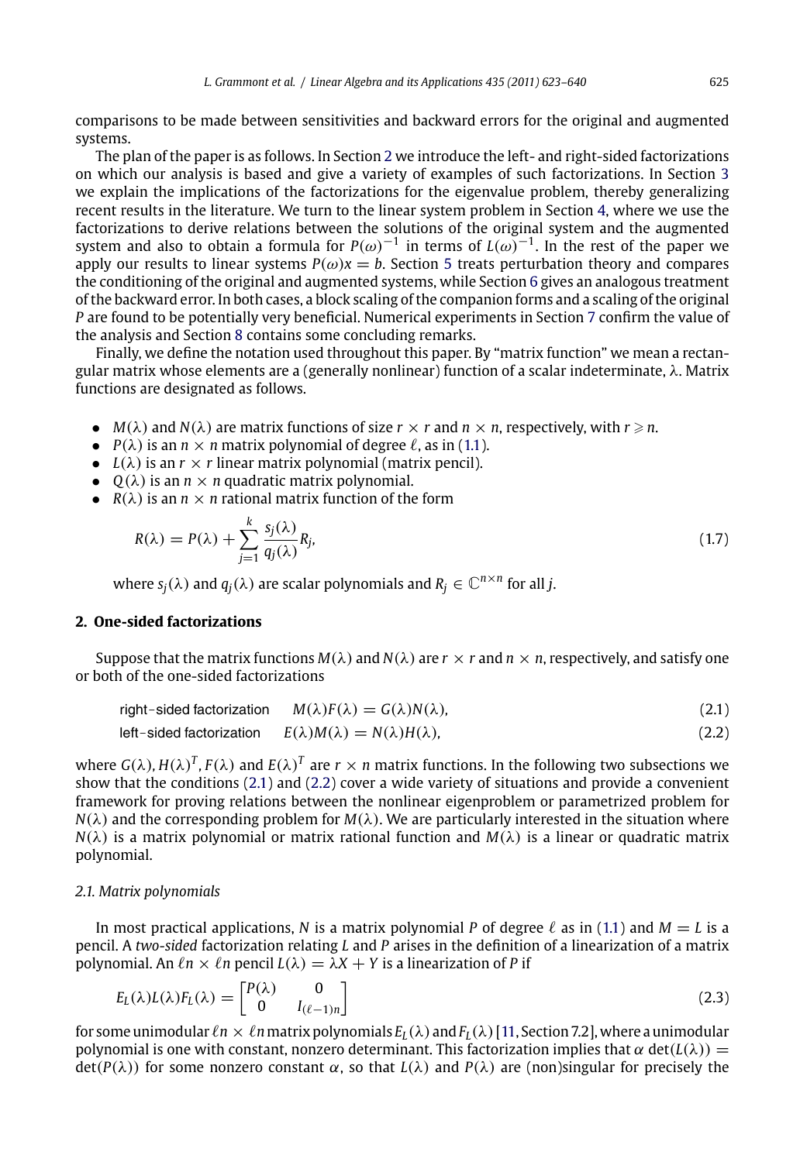<span id="page-2-0"></span>comparisons to be made between sensitivities and backward errors for the or[igi](#page-13-0)nal and augmented systems.

The plan of the paper [is](#page-16-0) as follows. In Section 2 we introduce the left- and right-sided factorizations on which our analysis is based and give a variety of examples of such factorizations. In Section 3 we explain the implications of the factorizations for the eigenvalue problem, thereby generalizing recent results in the literature. We turn to the linear system problem in Section 4, where we use the factorizations to derive relations between the solutions of the original system and the augmented system and also to obtain a formula for  $P(\omega)^{-1}$  in term[s of](#page-1-0)  $L(\omega)^{-1}$ . In the rest of the paper we apply our results to linear systems  $P(\omega)x = b$ . Section 5 treats perturbation theory and compares the conditioning of the original and augmented systems, while Section 6 gives an analogous treatment of the backward error. In both cases, a block scaling of the companion forms and a scaling of the original *P* are found to be potentially very beneficial. Numerical experiments in Section 7 confirm the value of the analysis and Section 8 contains some concluding remarks.

Finally, we define the notation used throughout this paper. By "matrix function" we mean a rectangular matrix whose elements are a (generally nonlinear) function of a scalar indeterminate, λ. Matrix functions are designated as follows.

- $M(\lambda)$  and  $N(\lambda)$  are matrix functions of size  $r \times r$  and  $n \times n$ , respectively, with  $r \geq n$ .
- $P(\lambda)$  is an  $n \times n$  matrix polynomial of degree  $\ell$ , as in (1.1).
- $L(\lambda)$  is an  $r \times r$  linear matrix polynomial (matrix pencil).
- $Q(\lambda)$  is an  $n \times n$  quadratic matrix polynomial.
- $R(\lambda)$  is an  $n \times n$  rational matrix function of the form

$$
R(\lambda) = P(\lambda) + \sum_{j=1}^{k} \frac{s_j(\lambda)}{q_j(\lambda)} R_j,
$$
\n(1.7)

where  $s_i(\lambda)$  and  $q_i(\lambda)$  are scalar polynomials and  $R_i \in \mathbb{C}^{n \times n}$  for all *j*.

# **2. One-sided factorizations**

Suppose that the matrix functions  $M(\lambda)$  and  $N(\lambda)$  are  $r \times r$  and  $n \times n$ , respectively, and satisfy one or both of the one-sided factorizations

right-sided factorization 
$$
M(\lambda)F(\lambda) = G(\lambda)N(\lambda)
$$
, (2.1)

left-sided factorization 
$$
E(\lambda)M(\lambda) = N(\lambda)H(\lambda)
$$
, (2.2)

where  $G(\lambda)$ ,  $H(\lambda)$ <sup>T</sup>,  $F(\lambda)$  and  $E(\lambda)$ <sup>T</sup> are  $r \times n$  matrix functions. In the following two subsections we show that the conditions (2.1) and (2.2) cover a wide variety of situations and provide a convenient framework for proving relations between the nonlinear eigenproblem or parametrized problem for  $N(\lambda)$  and the corresponding problem for  $M(\lambda)$ . We are particularly interested in the situation where  $N(\lambda)$  is a matrix polynomial or matrix rational function and  $M(\lambda)$  is a linear or quadratic matrix polynomial.

## *2.1. Matrix polynomials*

In most practical applications, N is a matrix polynomial P of degree  $\ell$  as in (1.1) and  $M = L$  is a pencil. A *two-sided* factorization relating *L* and *P* arises in the definition of a linearization of a matrix polynomial. An  $ln \times ln$  pencil  $L(\lambda) = \lambda X + Y$  is a linearization of *P* if

$$
E_L(\lambda)L(\lambda)F_L(\lambda) = \begin{bmatrix} P(\lambda) & 0 \\ 0 & I_{(\ell-1)n} \end{bmatrix}
$$
\n(2.3)

for some unimodular  $\ell n \times \ell n$  matrix polynomials  $E_L(\lambda)$  and  $F_L(\lambda)$  [11, Section 7.2], where a unimodular polynomial is one with constant, nonzero determinant. This factorization implies that  $\alpha$  det( $L(\lambda)$ ) =  $\det(P(\lambda))$  for some nonzero constant  $\alpha$ , so that  $L(\lambda)$  and  $P(\lambda)$  are (non)singular for precisely the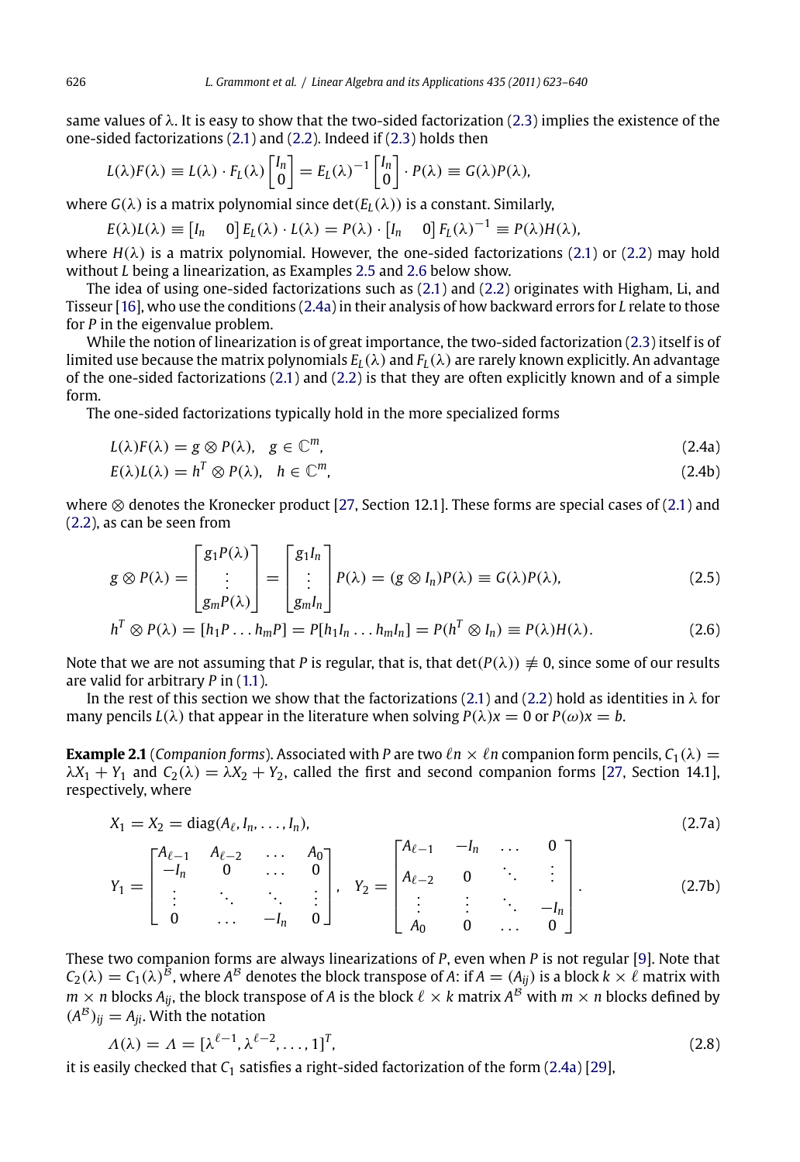same va[lue](#page-17-0)s of  $\lambda$ . It is easy to show that the two-sided factorization (2.3) implies the existence of the one-sided factorizations (2.1) and (2.2). Indeed if (2.3) holds then

$$
L(\lambda)F(\lambda) \equiv L(\lambda) \cdot F_L(\lambda) \begin{bmatrix} I_n \\ 0 \end{bmatrix} = E_L(\lambda)^{-1} \begin{bmatrix} I_n \\ 0 \end{bmatrix} \cdot P(\lambda) \equiv G(\lambda)P(\lambda),
$$

where  $G(\lambda)$  is a matrix polynomial since  $\det(E_L(\lambda))$  is a constant. Similarly,

 $E(\lambda)L(\lambda) \equiv [I_n \quad 0] E_L(\lambda) \cdot L(\lambda) = P(\lambda) \cdot [I_n \quad 0] F_L(\lambda)^{-1} \equiv P(\lambda) H(\lambda),$ 

where  $H(\lambda)$  is a matrix polynomial. However, the one-sided factorizations (2.1) or (2.2) may hold without *L* being a linearization, as Examples 2.5 and 2.6 below show.

The idea of using one-sided factorizations such as (2.1) and (2.2) originates with Higham, Li, and Tisseur [16], who use the conditions (2.4a) [in t](#page-17-0)heir analysis of how backward errors for *L* relate [to t](#page-2-0)hose [for](#page-2-0) *P* in the eigenvalue problem.

While the notion of linearization is of great importance, the two-sided factorization (2.3) itself is of limited use because the matrix polynomials  $E_L(\lambda)$  and  $F_L(\lambda)$  are rarely known explicitly. An advantage of the one-sided factorizations (2.1) and (2.2) is that they are often explicitly known and of a simple form.

The one-sided factorizations typically hold in the more specialized forms

$$
L(\lambda)F(\lambda) = g \otimes P(\lambda), \quad g \in \mathbb{C}^m,
$$
\n(2.4a)

$$
E(\lambda)L(\lambda) = h^T \otimes P(\lambda), \quad h \in \mathbb{C}^m,
$$
\n(2.4b)

where ⊗ denotes the Kronecker product [27, Section 12.1]. T[hese](#page-2-0) form[s are](#page-2-0) special cases of (2.1) and (2.2), as can be seen from

$$
g \otimes P(\lambda) = \begin{bmatrix} g_1 P(\lambda) \\ \vdots \\ g_m P(\lambda) \end{bmatrix} = \begin{bmatrix} g_1 I_n \\ \vdots \\ g_m I_n \end{bmatrix} P(\lambda) = (g \otimes I_n) P(\lambda) \equiv G(\lambda) P(\lambda), \tag{2.5}
$$

$$
h^T \otimes P(\lambda) = [h_1 P \dots h_m P] = P[h_1 I_n \dots h_m I_n] = P(h^T \otimes I_n) \equiv P(\lambda) H(\lambda).
$$
 (2.6)

Note that we are not assuming that *P* is regular, that is, that  $\det(P(\lambda)) \neq 0$ , since some of our results are valid for arbitrary *P* in (1.1).

In the rest of this section we show that the factorizations (2.1) and (2.2) hold as identities in  $\lambda$  for many pencils  $L(\lambda)$  that appear in the literature when solving  $P(\lambda)x = 0$  or  $P(\omega)x = b$ .

**Example 2.1** (*Companion forms*). Associated with *P* are two  $ln \times ln$  companion form pencils,  $C_1(\lambda)$  =  $\lambda X_1 + Y_1$  and  $C_2(\lambda) = \lambda X_2 + Y_2$ , called the first and second companion forms [27, [Sec](#page-16-0)tion 14.1], respectively, where

$$
X_1 = X_2 = \text{diag}(A_\ell, I_n, \dots, I_n),
$$
\n
$$
Y_1 = \begin{bmatrix} A_{\ell-1} & A_{\ell-2} & \dots & A_0 \\ -I_n & 0 & \dots & 0 \\ \vdots & \ddots & \ddots & \vdots \\ 0 & \dots & -I_n & 0 \end{bmatrix}, Y_2 = \begin{bmatrix} A_{\ell-1} & -I_n & \dots & 0 \\ A_{\ell-2} & 0 & \ddots & \vdots \\ \vdots & \vdots & \ddots & -I_n \\ A_0 & 0 & \dots & 0 \end{bmatrix}.
$$
\n(2.7a)

These two companion forms are always linearizations of *P*, even when *P* is not regular [9]. Note that  $C_2(\lambda) = C_1(\lambda)^B$ , where  $A^B$  denotes the block transpose of *A*: if  $A = (A_{ij})$  is a block  $k \times \ell$  matrix with  $m\times n$  blocks  $A_{ij}$ , the block transpose of  $A$  is the block  $\ell\times k$  matrix  $A^\mathcal{B}$  with  $m\times n$  blocks defined by  $(A^B)_{ii} = A_{ii}$ . With the notation

$$
\Lambda(\lambda) = \Lambda = [\lambda^{\ell-1}, \lambda^{\ell-2}, \dots, 1]^T, \tag{2.8}
$$

it is easily checked that *C*<sup>1</sup> satisfies a right-sided factorization of the form (2.4a) [29],

<span id="page-3-0"></span>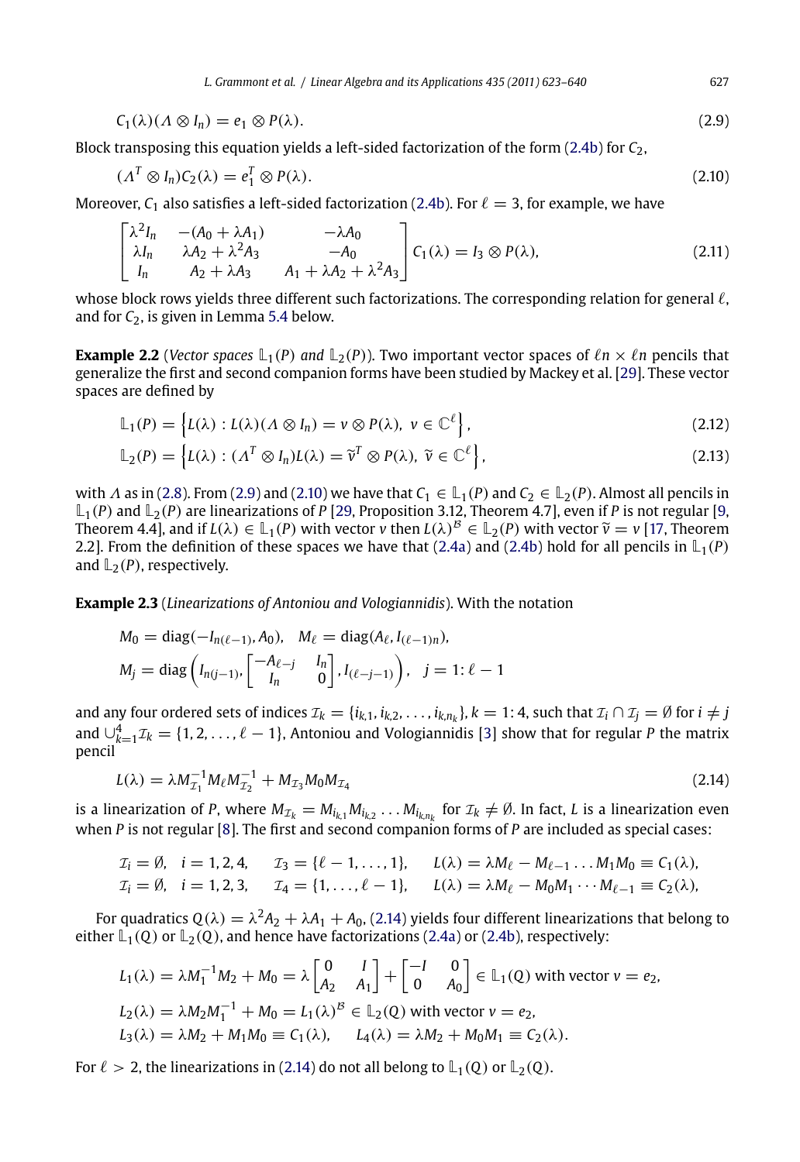<span id="page-4-0"></span>
$$
C_1(\lambda)(\Lambda \otimes I_n) = e_1 \otimes P(\lambda). \tag{2.9}
$$

Block transposing this equation yields a left-sided factorization of the form (2.4b) for *C*2,

$$
(\Lambda^T \otimes I_n)C_2(\lambda) = e_1^T \otimes P(\lambda). \tag{2.10}
$$

Moreover,  $C_1$  also satisfies a left-sided factorization (2.4b). For  $\ell = 3$ , for example, we have

$$
\begin{bmatrix} \lambda^2 I_n & - (A_0 + \lambda A_1) & -\lambda A_0 \\ \lambda I_n & \lambda A_2 + \lambda^2 A_3 & -A_0 \\ I_n & A_2 + \lambda A_3 & A_1 + \lambda A_2 + \lambda^2 A_3 \end{bmatrix} C_1(\lambda) = I_3 \otimes P(\lambda),
$$
\n(2.11)

whose block [row](#page-3-0)s yields three different such factorizations. The corresponding relation for general  $\ell$ , and for *C*2, is given in Lemma 5.4 below[.](#page-17-0)

**Example 2.2** (*Vec[tor sp](#page-3-0)aces*  $\mathbb{L}_1(P)$  *and*  $\mathbb{L}_2(P)$ ). Two im[portan](#page-3-0)t vector spaces of  $\ln \times \ln P$  pencils that generalize the first and second companion forms have been studied by Mackey et al. [29]. These vector spaces are defined by

$$
\mathbb{L}_1(P) = \left\{ L(\lambda) : L(\lambda)(\Lambda \otimes I_n) = v \otimes P(\lambda), \ v \in \mathbb{C}^{\ell} \right\},\tag{2.12}
$$

$$
\mathbb{L}_2(P) = \left\{ L(\lambda) : (\Lambda^T \otimes I_n)L(\lambda) = \widetilde{v}^T \otimes P(\lambda), \ \widetilde{v} \in \mathbb{C}^\ell \right\},\tag{2.13}
$$

with  $\Lambda$  as in (2.8). From (2.9) and (2.10) we have that  $C_1 \in L_1(P)$  and  $C_2 \in L_2(P)$ . Almost all pencils in  $\mathbb{L}_1(P)$  and  $\mathbb{L}_2(P)$  are linearizations of *P* [29, Proposition 3.12, Theorem 4.7], even if *P* is not regular [9, Theorem 4.4], and if  $L(\lambda) \in \mathbb{L}_1(P)$  with vector *v* then  $L(\lambda)^B \in \mathbb{L}_2(P)$  with vector  $\tilde{v} = v$  [17, Theorem 2.2]. From the definition of these spaces we have that (2.4a) [and](#page-16-0) (2.4b) hold for all pencils in  $\mathbb{L}_1(P)$ and  $\mathbb{L}_2(P)$ , respectively.

**Example 2.3** (*Linearizations of Antoniou and Vologiannidis*). With the notation

$$
M_0 = \text{diag}(-I_{n(\ell-1)}, A_0), \quad M_{\ell} = \text{diag}(A_{\ell}, I_{(\ell-1)n}),
$$
  

$$
M_j = \text{diag}\left(I_{n(j-1)}, \begin{bmatrix} -A_{\ell-j} & I_n \\ I_n & 0 \end{bmatrix}, I_{(\ell-j-1)}\right), \quad j = 1: \ell - 1
$$

and any four ordered sets of indices  $\mathcal{I}_k = \{i_{k,1}, i_{k,2}, \ldots, i_{k,n_k}\}, k = 1:4$ , such that  $\mathcal{I}_i \cap \mathcal{I}_j = \emptyset$  for  $i \neq j$ and  $\bigcup_{k=1}^{4} \mathcal{I}_k = \{1, 2, ..., \ell-1\}$ , Antoniou and Vologi[annid](#page-3-0)is [[3\] sh](#page-3-0)ow that for regular *P* the matrix pencil

$$
L(\lambda) = \lambda M_{\mathcal{I}_1}^{-1} M_\ell M_{\mathcal{I}_2}^{-1} + M_{\mathcal{I}_3} M_0 M_{\mathcal{I}_4}
$$
\n(2.14)

is a linearization of *P*, where  $M_{\mathcal{I}_k} = M_{i_{k,1}}M_{i_{k,2}}\ldots M_{i_{k,n_k}}$  for  $\mathcal{I}_k \neq \emptyset$ . In fact, *L* is a linearization even when *P* is not regular [8]. The first and second companion forms of *P* are included as special cases:

$$
T_i = \emptyset, \quad i = 1, 2, 4, \qquad T_3 = \{ \ell - 1, \ldots, 1 \}, \qquad L(\lambda) = \lambda M_{\ell} - M_{\ell - 1} \ldots M_1 M_0 \equiv C_1(\lambda),
$$
  

$$
T_i = \emptyset, \quad i = 1, 2, 3, \qquad T_4 = \{ 1, \ldots, \ell - 1 \}, \qquad L(\lambda) = \lambda M_{\ell} - M_0 M_1 \cdots M_{\ell - 1} \equiv C_2(\lambda),
$$

For quadratics  $Q(\lambda) = \lambda^2 A_2 + \lambda A_1 + A_0$ , (2.14) yields four different linearizations that belong to either  $\mathbb{L}_1(Q)$  or  $\mathbb{L}_2(Q)$ , and hence have factorizations (2.4a) or (2.4b), respectively:

$$
L_1(\lambda) = \lambda M_1^{-1} M_2 + M_0 = \lambda \begin{bmatrix} 0 & I \\ A_2 & A_1 \end{bmatrix} + \begin{bmatrix} -I & 0 \\ 0 & A_0 \end{bmatrix} \in \mathbb{L}_1(Q) \text{ with vector } v = e_2,
$$
  
\n
$$
L_2(\lambda) = \lambda M_2 M_1^{-1} + M_0 = L_1(\lambda)^B \in \mathbb{L}_2(Q) \text{ with vector } v = e_2,
$$
  
\n
$$
L_3(\lambda) = \lambda M_2 + M_1 M_0 \equiv C_1(\lambda), \qquad L_4(\lambda) = \lambda M_2 + M_0 M_1 \equiv C_2(\lambda).
$$

For  $\ell > 2$ , the linearizations in (2.14) do not all belong to  $\mathbb{L}_1(Q)$  or  $\mathbb{L}_2(Q)$ .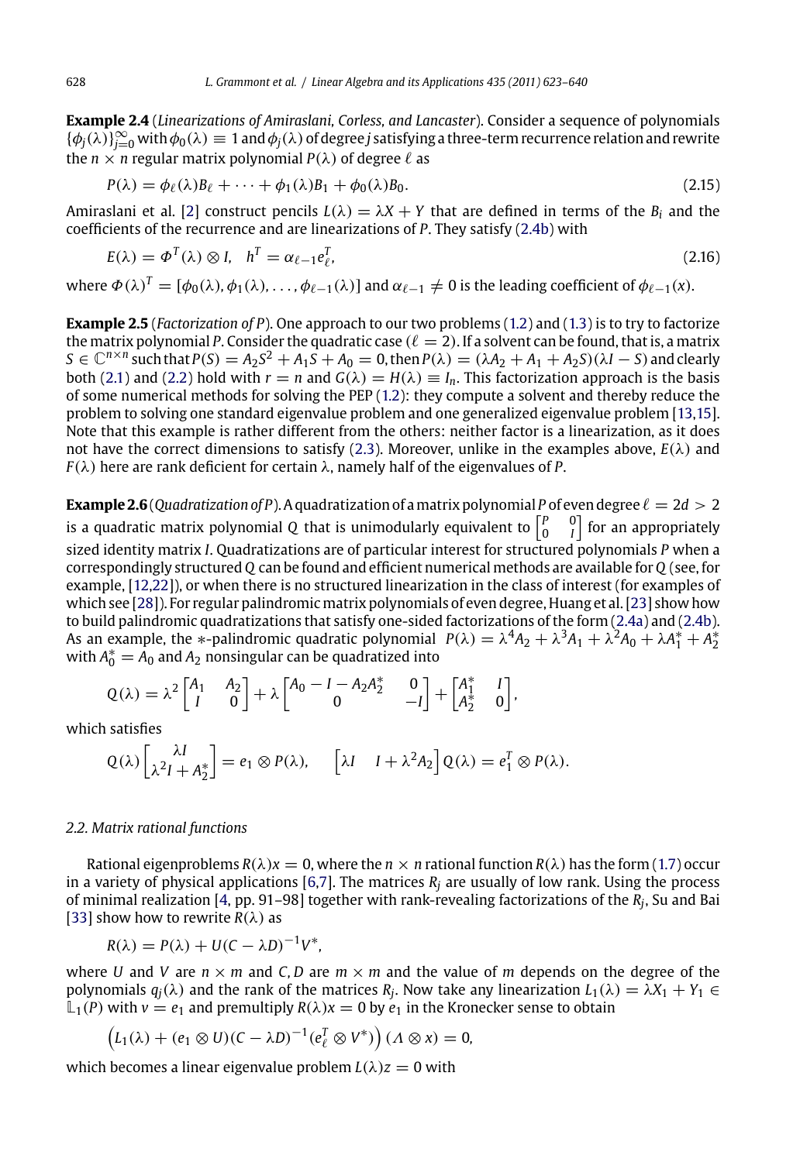**Example 2.4** (*Linearizations of Amiraslani, Corless, and Lancaster*). Consider a sequence of polynomials  $\{\phi_j(\lambda)\}_{j=0}^\infty$  $\{\phi_j(\lambda)\}_{j=0}^\infty$  $\{\phi_j(\lambda)\}_{j=0}^\infty$  with  $\phi_0(\lambda)\equiv 1$  and  $\phi_j(\lambda)$  of deg[re](#page-1-0)e *j* satisfying a three-term recurr[ence](#page-1-0) relation and rewrite the  $n \times n$  regular matrix polynomial  $P(\lambda)$  of degree  $\ell$  as

$$
P(\lambda) = \phi_{\ell}(\lambda)B_{\ell} + \dots + \phi_1(\lambda)B_1 + \phi_0(\lambda)B_0.
$$
\n(2.15)

Amiraslani et al. [2] construct pencils  $L(\lambda) = \lambda X + Y$  $L(\lambda) = \lambda X + Y$  $L(\lambda) = \lambda X + Y$  that are defined in terms of [the](#page-17-0)  $B_i$  [and](#page-16-0) the coefficients of the recurrence and are linearizations of *P*. They satisfy (2.4b) with

$$
E(\lambda) = \Phi^{T}(\lambda) \otimes I, \quad h^{T} = \alpha_{\ell - 1} e_{\ell}^{T}, \tag{2.16}
$$

where  $\Phi(\lambda)^T=[\phi_0(\lambda),\phi_1(\lambda),\ldots,\phi_{\ell-1}(\lambda)]$  and  $\alpha_{\ell-1}\neq 0$  is the leading coefficient of  $\phi_{\ell-1}(x)$ .

**Example 2.5** (*Factorization of P*). One approach to our two problems (1.2) and (1.3) is to try to factorize the matrix polynomial P. Consider the quadratic case  $(\ell=2)$ . If a solvent can be found, that is, a matrix  $S \in \mathbb{C}^{n \times n}$  such that  $P(S) = A_2 S^2 + A_1 S + A_0 = 0$ , then  $P(\lambda) = (\lambda A_2 + A_1 + A_2 S)(\lambda I - S)$  and clearly both (2.1) and (2.2) hold with  $r = n$  and  $G(\lambda) = H(\lambda) \equiv I_n$ . This factorization approach is the basis of some n[um](#page-16-0)[eric](#page-17-0)al methods for solving the PEP (1.2): they compute a solvent and thereby reduce the problem t[o sol](#page-17-0)ving one standard eigenvalue problem and one generalized eigenvalue pr[oble](#page-17-0)m [13,15]. Note that this example is rather different from the others: neither factor is a lineari[zation](#page-3-0), as i[t doe](#page-3-0)s not have the correct dimensions to satisfy (2.3). Moreover, unlike in the examples above,  $E(\lambda)$  and  $F(\lambda)$  here are rank deficient for certain  $\lambda$ , namely half of the eigenvalues of *P*.

 $\bf{Example 2.6}$  (Quadratization of P). A quadratization of a matrix polynomial P of even degree  $\ell = 2d > 2$ is a quadratic matrix polynomial Q that is unimodularly equivalent to  $\left[ \begin{smallmatrix} P & & 0 \cr 0 & & I \end{smallmatrix} \right]$  for an appropriately sized identity matrix *I*. Quadratizations are of particular interest for structured polynomials *P* when a correspondingly structured*Q* can be found and efficient numerical methods are available for*Q* (see, for example, [12,22]), or when there is no structured linearization in the class of interest (for examples of which see [28]). For regular palindromic matrix polynomials of even degree, Huang et al. [23] show how to build palindromic quadratizations that satisfy one-sided factorizations of the form (2.4a) and (2.4b). As an example, the \*-palindromic quadratic polynomial  $P(\lambda) = \lambda^4 A_2 + \lambda^3 A_1 + \lambda^2 A_0 + \lambda A_1^* + A_2^*$ with  $A_0^* = A_0$  and  $A_2$  nonsingular can be quadratized into

$$
Q(\lambda) = \lambda^2 \begin{bmatrix} A_1 & A_2 \\ I & 0 \end{bmatrix} + \lambda \begin{bmatrix} A_0 - I - A_2 A_2^* & 0 \\ 0 & -I \end{bmatrix} + \begin{bmatrix} A_1^* & I \\ A_2^* & 0 \end{bmatrix},
$$

[whi](#page-17-0)ch satisfies

$$
Q(\lambda)\begin{bmatrix} \lambda I \\ \lambda^2 I + A_2^* \end{bmatrix} = e_1 \otimes P(\lambda), \quad \left[ \lambda I + \lambda^2 A_2 \right] Q(\lambda) = e_1^T \otimes P(\lambda).
$$

#### *2.2. Matrix rational functions*

Rational eigenproblems  $R(\lambda)x = 0$ , where the  $n \times n$  rational function  $R(\lambda)$  has the form (1.7) occur in a variety of physical applications [6,7]. The matrices *Rj* are usually of low rank. Using the process of minimal realization [4, pp. 91–98] together with rank-revealing factorizations of the *Rj*, Su and Bai [33] show how to rewrite  $R(\lambda)$  as

$$
R(\lambda) = P(\lambda) + U(C - \lambda D)^{-1}V^*,
$$

where *U* and *V* are  $n \times m$  and *C*, *D* are  $m \times m$  and the value of *m* depends on the degree of the polynomials  $q_j(\lambda)$  and the rank of the matrices  $R_j$ . Now take any linearization  $L_1(\lambda) = \lambda X_1 + Y_1 \in$  $\mathbb{L}_1(P)$  with  $v = e_1$  and premultiply  $R(\lambda)x = 0$  by  $e_1$  in the Kronecker sense to obtain

$$
\left(L_1(\lambda)+(e_1\otimes U)(C-\lambda D)^{-1}(e_{\ell}^T\otimes V^*)\right)(\Lambda\otimes x)=0,
$$

which becomes a linear eigenvalue problem  $L(\lambda)z = 0$  with

<span id="page-5-0"></span>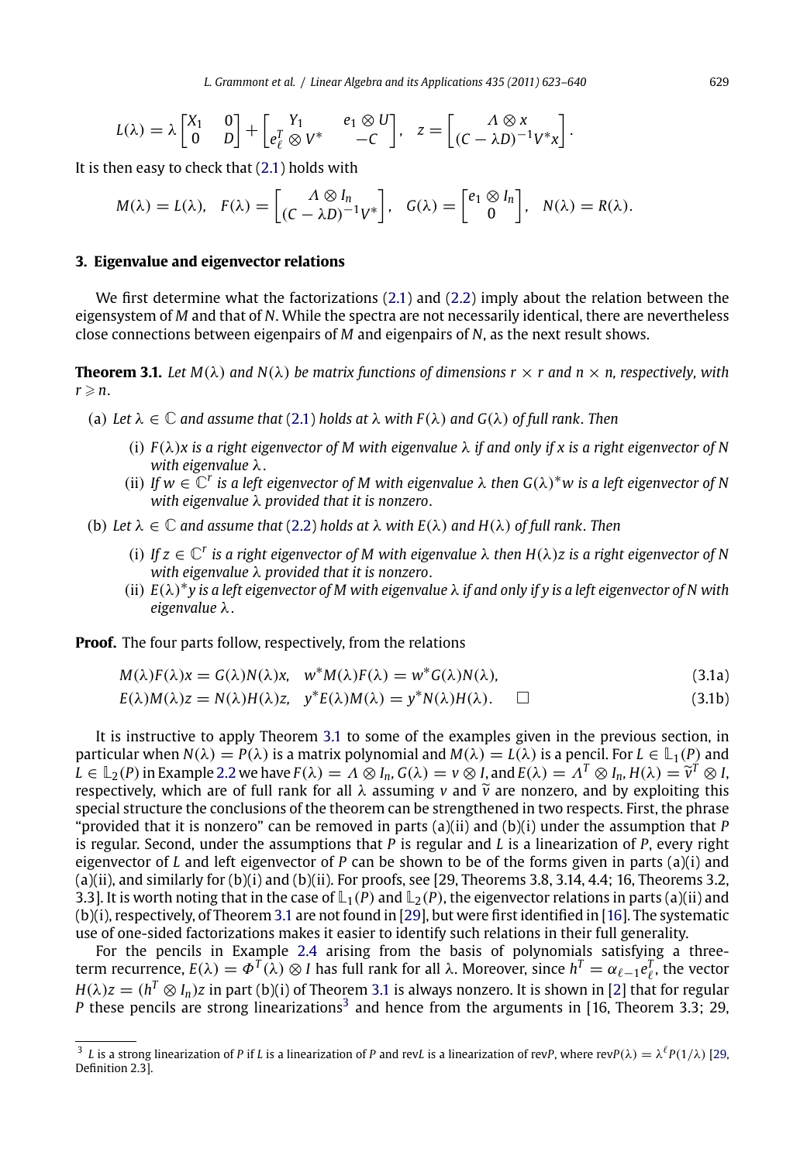<span id="page-6-0"></span>
$$
L(\lambda) = \lambda \begin{bmatrix} X_1 & 0 \\ 0 & D \end{bmatrix} + \begin{bmatrix} Y_1 & e_1 \otimes U \\ e_{\ell}^T \otimes V^* & -C \end{bmatrix}, \quad z = \begin{bmatrix} \Lambda \otimes x \\ (C - \lambda D)^{-1} V^* x \end{bmatrix}.
$$

It is then easy to check that (2.1) holds with

$$
M(\lambda) = L(\lambda), \quad F(\lambda) = \begin{bmatrix} \Lambda \otimes I_n \\ (C - \lambda D)^{-1} V^* \end{bmatrix}, \quad G(\lambda) = \begin{bmatrix} e_1 \otimes I_n \\ 0 \end{bmatrix}, \quad N(\lambda) = R(\lambda).
$$

# **3. Eigenvalue and eigenvector relations**

We first determine what the factorizations (2.1) and (2.2) imply about the relation between the eigensystem of *M* and that of *N*. While the spectra are not necessarily identical, there are nevertheless close connections between eigen[pair](#page-2-0)s of *M* and eigenpairs of *N*, as the next result shows.

**Theorem 3.1.** Let  $M(\lambda)$  and  $N(\lambda)$  be matrix functions of dimensions  $r \times r$  and  $n \times n$ , respectively, with  $r \geqslant n$ .

- (a) Let  $\lambda \in \mathbb{C}$  *and assume that* (2.1) *holds at*  $\lambda$  *with*  $F(\lambda)$  *and*  $G(\lambda)$  *of full rank. Then* 
	- (i) *F*(λ)*x is a right eigenvector of M with eigenvalue* λ *if and only if x is a right eigenvector of N with eigenvalue* λ.
	- (ii) If  $w \in \mathbb{C}^r$  is a left eigenvector of M with eigenvalue  $\lambda$  then  $G(\lambda)^*w$  is a left eigenvector of N *with eigenvalue* λ *provided that it is nonzero*.
- (b) Let  $\lambda \in \mathbb{C}$  *and assume that* (2.2) *holds at*  $\lambda$  *with*  $E(\lambda)$  *and*  $H(\lambda)$  *of full rank. Then* 
	- (i) If  $z \in \mathbb{C}^r$  *is a right eigenvector of M with eigenvalue*  $\lambda$  *then*  $H(\lambda)z$  *is a right eigenvector of N with eigenvalue* λ *provided that it is nonzero*.
	- (ii) *<sup>E</sup>*(λ)∗*y is [a](#page-4-0) [left](#page-4-0) eigenvector of M with eigenvalue* λ *if and only if y is a left eigenvector of N with eigenvalue* λ.

**Proof.** The four parts follow, respectively, from the relations

$$
M(\lambda)F(\lambda)x = G(\lambda)N(\lambda)x, \quad w^*M(\lambda)F(\lambda) = w^*G(\lambda)N(\lambda),
$$
  
\n
$$
E(\lambda)M(\lambda)z = N(\lambda)H(\lambda)z, \quad y^*E(\lambda)M(\lambda) = y^*N(\lambda)H(\lambda). \quad \Box
$$
\n(3.1a)

It is instructive to apply Theorem 3.1 to some [of](#page-17-0) the examples given in the [prev](#page-17-0)ious section, in particular when  $N(\lambda) = P(\lambda)$  is a [mat](#page-5-0)rix polynomial and  $M(\lambda) = L(\lambda)$  is a pencil. For  $L \in L_1(P)$  and  $L \in \mathbb{L}_2(P)$  in Example 2.2 we have  $F(\lambda) = \Lambda \otimes I_n$ ,  $G(\lambda) = v \otimes I$ , and  $E(\lambda) = \Lambda^T \otimes I_n$ ,  $H(\lambda) = \tilde{v}^T \otimes I$ , respectively, which are of full rank for all  $\lambda$  assuming  $\nu$  and  $\tilde{\nu}$  are nonzero, and [by](#page-16-0) exploiting this special structure the conclusions of the theorem can be strengthened in two respects. First, the phrase "provided that it is nonzero" can be removed in parts  $(a)(ii)$  and  $(b)(i)$  under the assumption that *P* is regular. Second, under the assumptions that *P* is regular and *L* is a linearization of *P*, every right eigenvector of *L* and left eigenvector of *P* can be shown to be of the forms given in parts (a)(i) [and](#page-17-0)  $(a)$ (ii), and similarly for  $(b)$ (i) and  $(b)$ (ii). For proofs, see [29, Theorems 3.8, 3.14, 4.4; 16, Theorems 3.2, 3.3]. It is worth noting that in the case of  $\mathbb{L}_1(P)$  and  $\mathbb{L}_2(P)$ , the eigenvector relations in parts (a)(ii) and (b)(i), respectively, of Theorem 3.1 are not found in [29], but were first identified in [16]. The systematic use of one-sided factorizations makes it easier to identify such relations in their full generality.

For the pencils in Example 2.4 arising from the basis of polynomials satisfying a threeterm recurrence,  $E(\lambda) = \Phi^T(\lambda) \otimes I$  has full rank for all  $\lambda$ . Moreover, since  $h^T = \alpha_{\ell-1} e_{\ell}^T$ , the vector  $H(\lambda)z = (h^T \otimes I_n)z$  in part (b)(i) of Theorem 3.1 is always nonzero. It is shown in [2] that for regular *P* these pencils are strong linearizations<sup>3</sup> and hence from the arguments in [16, Theorem 3.3; 29,

 $^3$  *L* is a strong linearization of *P* if *L* is a linearization of *P* and rev*L* is a linearization of rev*P*, where rev*P*( $\lambda$ ) =  $\lambda^{\ell}P(1/\lambda)$  [29, Definition 2.3].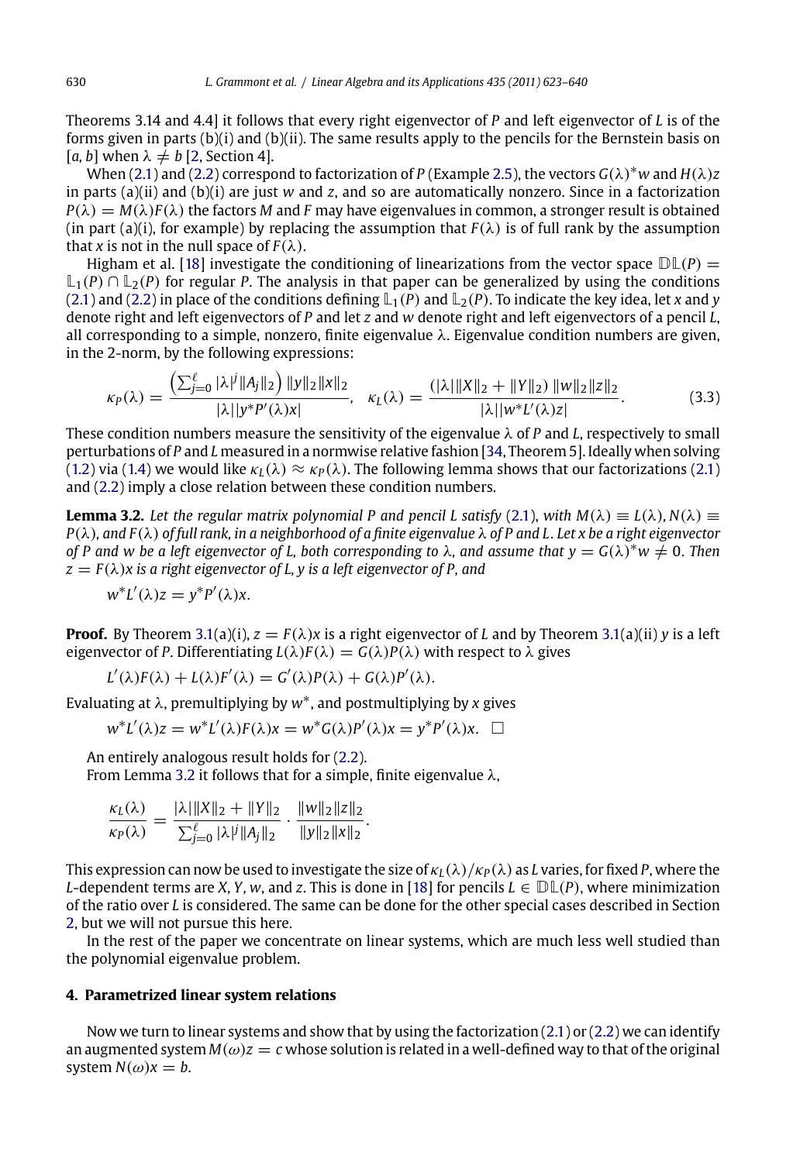[Theo](#page-2-0)rem[s](#page-2-0) [3.1](#page-2-0)4 and 4.4] it follows that every right eigenvector of *P* and left eigenvector of *L* is of the forms given in parts (b)(i) and (b)(ii). The same results apply to the pencils for the Bernstein basis on [a, b] when  $\lambda \neq b$  [2, Section 4].

When (2.1) and (2.2) correspond to factorization of *P* (Example 2.5), the vectors  $G(\lambda)^*w$  and  $H(\lambda)z$ in parts (a)(ii) and (b)(i) are just *w* and *z*, and so are automatically nonzero. Since in a factorization  $P(\lambda) = M(\lambda)F(\lambda)$  the factors *M* and *F* may have eigenvalues in common, a stronger result is obtained (in part (a)(i), for example) by replacing the assumption that  $F(\lambda)$  is of full rank by the assumption that *x* is not in the null space of  $F(\lambda)$ .

Higham et al. [18] investigate the conditioning of linearizati[ons](#page-17-0) from the vector space  $D\mathbb{L}(P)$  =  $\mathbb{L}_1(P) \cap \mathbb{L}_2(P)$  $\mathbb{L}_1(P) \cap \mathbb{L}_2(P)$  $\mathbb{L}_1(P) \cap \mathbb{L}_2(P)$  for regular *P*. The analysis in that paper can be generalized by using the condit[ions](#page-2-0) (2.1) [and](#page-2-0) (2.2) in place of the conditions defining  $\mathbb{L}_1(P)$  and  $\mathbb{L}_2(P)$ . To indicate the key idea, let *x* and *y* denote right and left eigenvectors of *P* and let *z* and *w* denote right a[nd l](#page-2-0)eft eigenvectors of a pencil *L*, all corresponding to a simple, nonzero, finite eigenvalue  $\lambda$ . Eigenvalue condition numbers are given, in the 2-norm, by the following expressions:

$$
\kappa_P(\lambda) = \frac{\left(\sum_{j=0}^{\ell} |\lambda|^j \|A_j\|_2\right) \|y\|_2 \|x\|_2}{|\lambda| |y^* P'(\lambda) x|}, \quad \kappa_L(\lambda) = \frac{(|\lambda| \|X\|_2 + \|Y\|_2) \|w\|_2 \|z\|_2}{|\lambda| |w^* P'(\lambda) z|}.
$$
 (3.3)

These condition numbers measure the sensitivity of the eigenvalue λ of *P* and *L*, respectively to small perturbations of *P* a[nd](#page-6-0) *L* measured in a normwise relative fashion [34, Theorem 5]. I[deall](#page-6-0)y when solving (1.2) via (1.4) we would like  $\kappa_l(\lambda) \approx \kappa_P(\lambda)$ . The following lemma shows that our factorizations (2.1) and (2.2) imply a close relation between these condition numbers.

**Lemma 3.2.** *Let the regular matrix polynomial P and pencil L satisfy* (2.1), *with*  $M(\lambda) \equiv L(\lambda)$ ,  $N(\lambda) \equiv$ *P*(λ)*, and F*(λ) *of full rank, in a neighborhood of a finite eigenvalue* λ *of P and L*. *Let x be a right eigenvector of P and w be a left eigenvector of L, both corresponding to*  $\lambda$ , and assume that  $y = G(\lambda)^* w \neq 0$ . *Then*  $z = F(\lambda)x$  *is a right eigenvector of L, y is a [left e](#page-2-0)igenvector of P, and* 

$$
w^*L'(\lambda)z = y^*P'(\lambda)x.
$$

**Proof.** By Theorem 3.1(a)(i),  $z = F(\lambda)x$  is a right eigenvector of *L* and by Theorem 3.1(a)(ii) *y* is a left eigenvector of *P*. Differentiating  $L(\lambda)F(\lambda) = G(\lambda)P(\lambda)$  with respect to  $\lambda$  gives

$$
L'(\lambda)F(\lambda) + L(\lambda)F'(\lambda) = G'(\lambda)P(\lambda) + G(\lambda)P'(\lambda).
$$

Evaluating at λ, premultiplying by *<sup>w</sup>*∗, and postmulti[ply](#page-17-0)ing by *<sup>x</sup>* gives

$$
w^*L'(\lambda)z = w^*L'(\lambda)F(\lambda)x = w^*G(\lambda)P'(\lambda)x = y^*P'(\lambda)x. \quad \Box
$$

An entirely analogous result holds for (2.2). From Lemma 3.2 it follows that for a simple, finite eigenvalue  $\lambda$ ,

$$
\frac{\kappa_L(\lambda)}{\kappa_P(\lambda)} = \frac{|\lambda| \|X\|_2 + \|Y\|_2}{\sum_{j=0}^{\ell} |\lambda|^j \|A_j\|_2} \cdot \frac{\|w\|_2 \|z\|_2}{\|y\|_2 \|x\|_2}.
$$

This expression can now be used to investigate the size of  $\kappa_L(\lambda)/\kappa_P(\lambda)$  as *L* varies, for fixed *P*, where the *L*-dependent terms are *X*, *Y*, *w*, and *z*. This is done in [18] for pencils  $L \in \mathbb{DL}(P)$ , where minimization of the ratio over *L* is considered. The same can be done for the other special cases described in Section 2, but we will not pursue this here.

In the rest of the paper we concentrate on linear systems, which are much less well studied than the polynomial eigenvalue problem.

## **4. Parametrized linear system relations**

Now we turn to linear systems and show that by using the factorization  $(2.1)$  or  $(2.2)$  we can identify an augmented system  $M(\omega)z = c$  whose solution is related in a well-defined way to that of the original system  $N(\omega)x = b$ .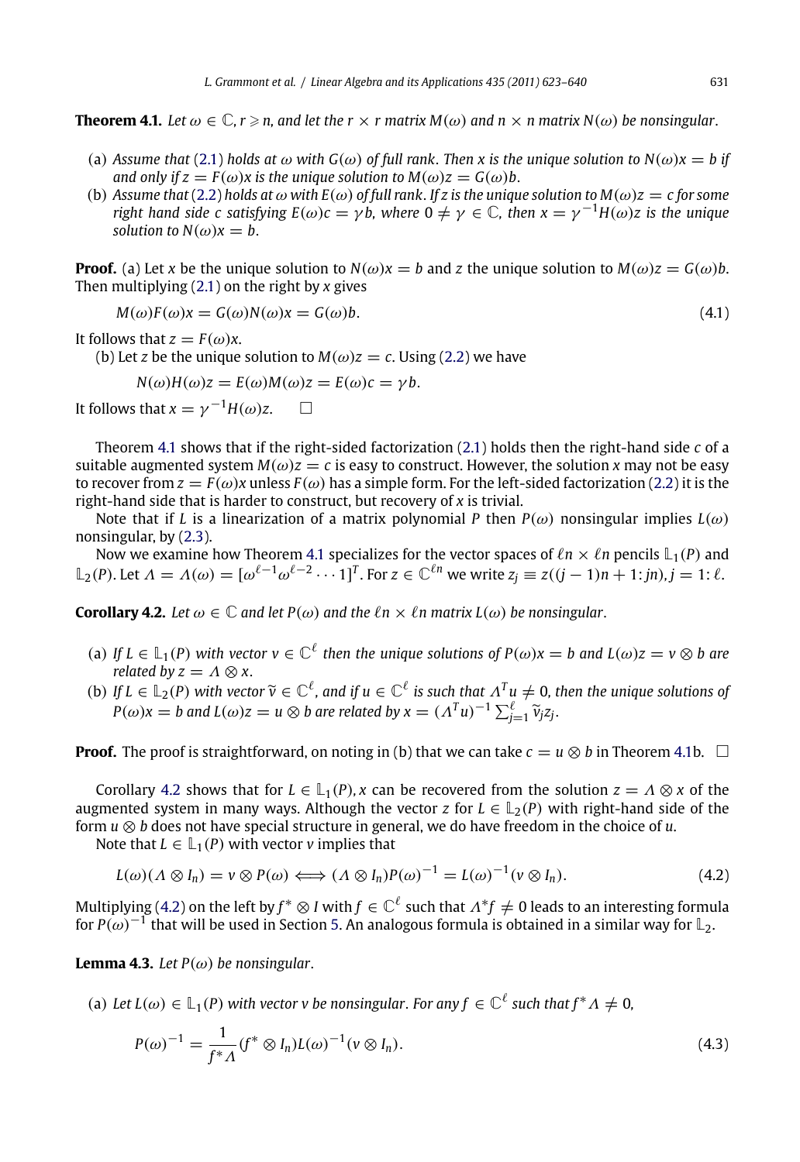<span id="page-8-0"></span>**Theorem 4.1.** Let  $\omega \in \mathbb{C}$ ,  $r \ge n$ , and let the  $r \times r$  matrix  $M(\omega)$  and  $n \times n$  matrix  $N(\omega)$  be nonsingular.

- (a) Assume that (2.1) holds at  $\omega$  with  $G(\omega)$  of full rank. [Then](#page-2-0) x is the unique solution to  $N(\omega)x = b$  if *and only if*  $z = F(\omega)x$  *is the unique solution to*  $M(\omega)z = G(\omega)b$ .
- (b) *Assume that* (2.2) *holds at*  $\omega$  *with*  $E(\omega)$  *of full rank. If z is the unique solution to*  $M(\omega)z = c$  *for some right hand side c satisfying*  $E(\omega)c = \gamma b$ , where  $0 \neq \gamma \in \mathbb{C}$ , then  $x = \gamma^{-1}H(\omega)z$  is the unique *solution to*  $N(\omega)x = b$ .

**Proof.** (a) Let *x* be [the](#page-2-0) unique solution to  $N(\omega)x = b$  and *z* the unique solution to  $M(\omega)z = G(\omega)b$ . Then multiplying (2.1) on the right by *x* gives

$$
M(\omega)F(\omega)x = G(\omega)N(\omega)x = G(\omega)b.
$$
\n(4.1)

It follows that  $z = F(\omega)x$ .

(b) Let *z* be t[he](#page-2-0) [un](#page-2-0)ique solution to  $M(\omega)z = c$ . Using (2.2) we have

$$
N(\omega)H(\omega)z = E(\omega)M(\omega)z = E(\omega)c = \gamma b.
$$

It follows that  $x = \gamma^{-1}H(\omega)z$ .  $\Box$ 

Theorem 4.1 shows that if the right-sided factorization (2.1) holds then the right-hand side *c* of a suitable augmented system  $M(\omega)z = c$  is easy to construct. However, the solution *x* may not be easy to recover from  $z = F(\omega)x$  unless  $F(\omega)$  has a simple form. For the left-sided factorization (2.2) it is the right-hand side that is harder to construct, but recovery of *x* is trivial.

Note that if *L* is a linearization of a matrix polynomial *P* then  $P(\omega)$  nonsingular implies  $L(\omega)$ nonsingular, by (2.3).

Now we examine how Theorem 4.1 specializes for the vector spaces of  $\ell n \times \ell n$  pencils  $\mathbb{L}_1(P)$  and  $\mathbb{L}_2(P)$ . Let  $\Lambda = \Lambda(\omega) = [\omega^{\ell-1}\omega^{\ell-2}\cdots 1]^T$ . For  $z \in \mathbb{C}^{\ell n}$  we write  $z_j \equiv z((j-1)n + 1:jn), j = 1: \ell$ .

**Corollary 4.2.** Let  $\omega \in \mathbb{C}$  and let  $P(\omega)$  and the  $\ell n \times \ell n$  matrix  $L(\omega)$  be nonsingular.

- (a) If  $L \in L_1(P)$  with vector  $v \in \mathbb{C}^{\ell}$  then the unique solutions of  $P(\omega)x = b$  and  $L(\omega)z = v \otimes b$  are *related by*  $z = \Lambda \otimes x$ *.*
- (b) *If*  $L \in \mathbb{L}_2(P)$  *with vector*  $\widetilde{v} \in \mathbb{C}^{\ell}$ *, and if*  $u \in \mathbb{C}^{\ell}$  *is such that*  $\Lambda^T u \neq 0$ *, then the unique solutions of*  $P(\omega)x = b$  and  $L(\omega)z = u \otimes b$  are related by  $x = (\Lambda^T u)^{-1} \sum_{j=1}^{\ell} \widetilde{v}_j z_j$ .

**Proof.** The proof is straightforward, on noting in (b) that we can take  $c = u \otimes b$  in Theorem 4.1b.  $\Box$ 

Corollary 4.2 shows that for  $L \in L_1(P)$ , x can be recovered from the solution  $z = \Lambda \otimes x$  of the augmented system in many ways. Although the vector *z* for  $L \in L_2(P)$  with right-hand side of the form *u* ⊗ *b* does not have special structure in general, we do have freedom in the choice of *u*.

Note that  $L \in L_1(P)$  with vector *v* implies that

$$
L(\omega)(\Lambda \otimes I_n) = v \otimes P(\omega) \Longleftrightarrow (\Lambda \otimes I_n)P(\omega)^{-1} = L(\omega)^{-1}(v \otimes I_n).
$$
 (4.2)

Multiplying (4.2) on the left by  $f^*\otimes I$  with  $f\in\mathbb{C}^\ell$  such that  $\Lambda^*f\neq 0$  leads to an interesting formula for *P*( $\omega$ )<sup>-1</sup> that will be used in Section 5. An analogous formula is obtained in a similar way for  $\mathbb{L}_2$ .

**Lemma 4.3.** *Let*  $P(\omega)$  *be nonsingular.* 

(a) Let  $L(\omega) \in \mathbb{L}_1(P)$  with vector v be nonsingular. For any  $f \in \mathbb{C}^{\ell}$  such that  $f^* \Lambda \neq 0$ ,

$$
P(\omega)^{-1} = \frac{1}{f^* \Lambda} (f^* \otimes I_n) L(\omega)^{-1} (v \otimes I_n).
$$
 (4.3)

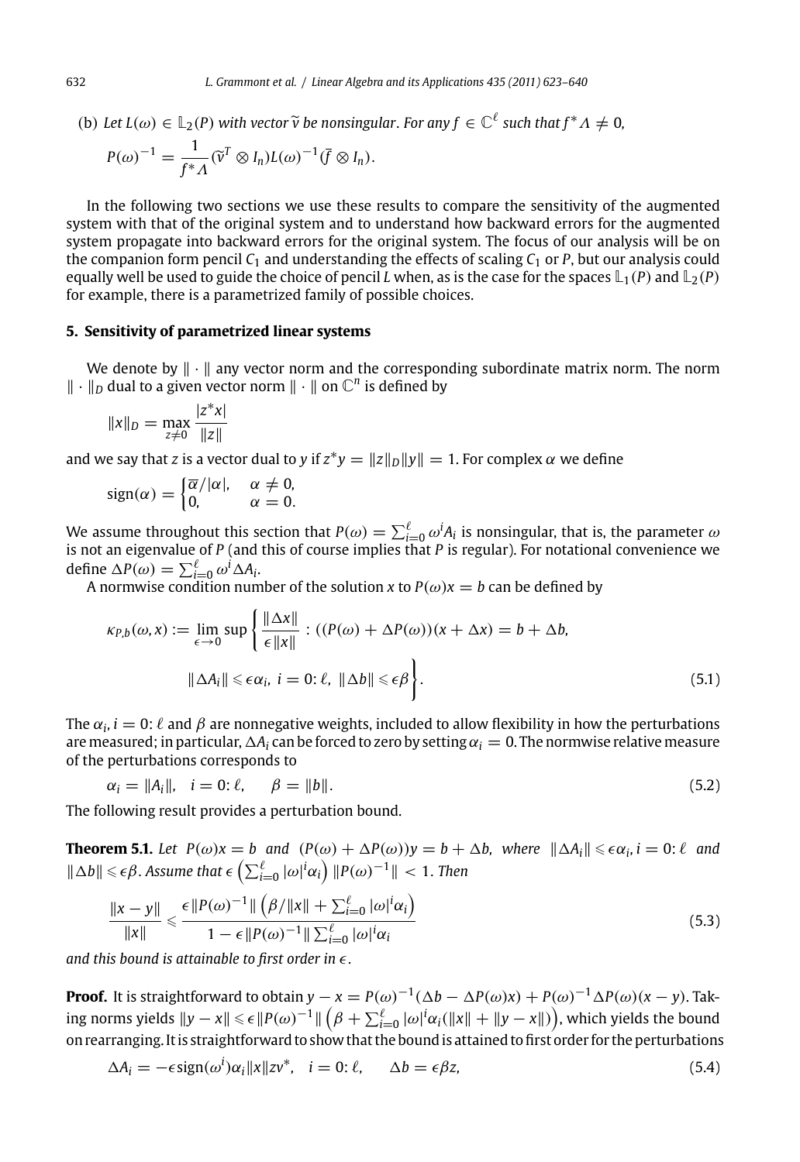(b) Let  $L(\omega) \in \mathbb{L}_2(P)$  with vector  $\widetilde{v}$  be nonsingular. For any  $f \in \mathbb{C}^{\ell}$  such that  $f^* \Lambda \neq 0$ ,

$$
P(\omega)^{-1} = \frac{1}{f^* \Lambda} (\widetilde{v}^T \otimes I_n) L(\omega)^{-1} (\overline{f} \otimes I_n).
$$

In the following two sections we use these results to compare the sensitivity of the augmented system with that of the original system and to understand how backward errors for the augmented system propagate into backward errors for the original system. The focus of our analysis will be on the companion form pencil *C*<sup>1</sup> and understanding the effects of scaling *C*<sup>1</sup> or *P*, but our analysis could equally well be used to guide the choice of pencil *L* when, as is the case for the spaces  $\mathbb{L}_1(P)$  and  $\mathbb{L}_2(P)$ for example, there is a parametrized family of possible choices.

## **5. Sensitivity of parametrized linear systems**

We denote by  $\|\cdot\|$  any vector norm and the corresponding subordinate matrix norm. The norm  $\|\cdot\|_D$  dual to a given vector norm  $\|\cdot\|$  on  $\mathbb{C}^n$  is defined by

$$
||x||_D = \max_{z \neq 0} \frac{|z^*x|}{||z||}
$$

and we say that *z* is a vector dual to *y* if  $z^*y = ||z||_D||y|| = 1$ . For complex  $\alpha$  we define

$$
sign(\alpha) = \begin{cases} \overline{\alpha}/|\alpha|, & \alpha \neq 0, \\ 0, & \alpha = 0. \end{cases}
$$

We assume throughout this section that  $P(\omega) = \sum_{i=0}^{\ell} \omega^i A_i$  is nonsingular, that is, the parameter  $\omega$ is not an eigenvalue of *P* (and this of course implies that *P* is regular). For notational convenience we define  $\Delta P(\omega) = \sum_{i=0}^{\ell} \omega^i \Delta A_i$ .

A normwise condition number of the solution *x* to  $P(\omega)x = b$  can be defined by

$$
\kappa_{P,b}(\omega, x) := \lim_{\epsilon \to 0} \sup \left\{ \frac{\|\Delta x\|}{\epsilon \|x\|} : ((P(\omega) + \Delta P(\omega))(x + \Delta x) = b + \Delta b, \|\Delta A_i\| \leq \epsilon \alpha_i, i = 0; \ell, \|\Delta b\| \leq \epsilon \beta \right\}.
$$
\n(5.1)

The  $\alpha_i$ ,  $i=0$ :  $\ell$  and  $\beta$  are nonnegative weights, included to allow flexibility in how the perturbations are measured; in particular,  $\Delta A_i$  can be forced to zero by setting  $\alpha_i = 0$ . The normwise relative measure of the perturbations corresponds to

$$
\alpha_i = ||A_i||, \quad i = 0; \ell, \qquad \beta = ||b||. \tag{5.2}
$$

The following result provides a perturbation bound.

**Theorem 5.1.** Let  $P(\omega)x = b$  and  $(P(\omega) + \Delta P(\omega))y = b + \Delta b$ , where  $\|\Delta A_i\| \leq \epsilon \alpha_i$ ,  $i = 0$ :  $\ell$  and  $\|\Delta b\|$  ≤  $\epsilon$ β. Assume that  $\epsilon$   $\left( \sum_{i=0}^{\ell} |\omega|^{i} \alpha_{i} \right)$   $\|P(\omega)^{-1}\|$  < 1. *Then* 

$$
\frac{\|x - y\|}{\|x\|} \le \frac{\epsilon \|P(\omega)^{-1}\| \left(\beta / \|x\| + \sum_{i=0}^{\ell} |\omega|^i \alpha_i\right)}{1 - \epsilon \|P(\omega)^{-1}\| \sum_{i=0}^{\ell} |\omega|^i \alpha_i}
$$
(5.3)

and this bound is attainable to first order in  $\epsilon$ .

**Proof.** It is straightforward to obtain  $y - x = P(\omega)^{-1}(\Delta b - \Delta P(\omega)x) + P(\omega)^{-1}\Delta P(\omega)(x - y)$ . Taking norms yields  $\|y-x\|\leqslant \epsilon\, \|P(\omega)^{-1}\|\left(\beta+\sum_{i=0}^\ell |\omega|^i\alpha_i(\|x\|+\|y-x\|)\right)$ , which yields the bound on rearranging. It is straightforward to show that the bound is attained to first order for the perturbations

$$
\Delta A_i = -\epsilon \operatorname{sign}(\omega^i) \alpha_i ||x|| z v^*, \quad i = 0; \ell, \qquad \Delta b = \epsilon \beta z, \tag{5.4}
$$

<span id="page-9-0"></span>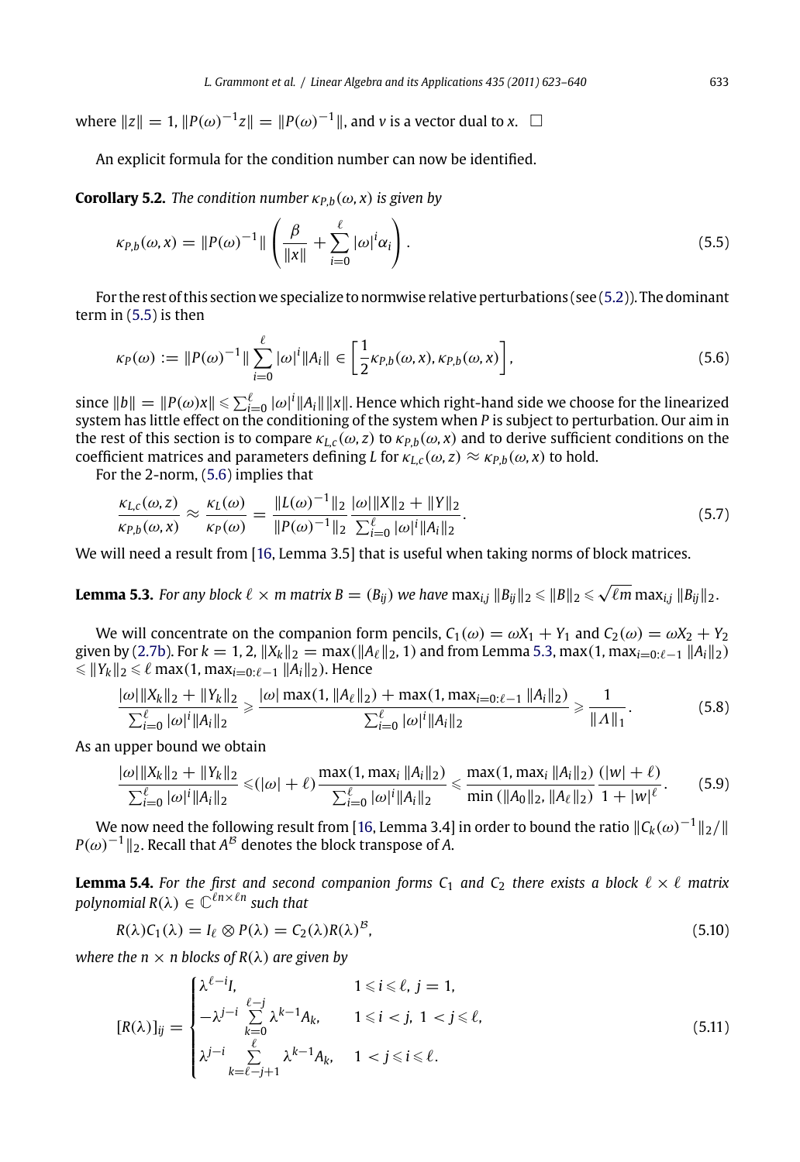<span id="page-10-0"></span>where  $||z|| = 1$ ,  $||P(\omega)^{-1}z|| = ||P(\omega)^{-1}||$ , and *v* is a vector dual to *x*. □

An explicit formula for the condition number can now be identified.

**Corollary 5.2.** *The condition number*  $\kappa_{P,b}(\omega, x)$  *is given by* 

$$
\kappa_{P,b}(\omega,x) = ||P(\omega)^{-1}|| \left( \frac{\beta}{||x||} + \sum_{i=0}^{\ell} |\omega|^i \alpha_i \right). \tag{5.5}
$$

For the rest of this section we specialize to normwise relative perturbations (see (5.2)). The dominant term in (5.5) is then

$$
\kappa_P(\omega) := \|P(\omega)^{-1}\| \sum_{i=0}^{\ell} |\omega|^i \|A_i\| \in \left[\frac{1}{2} \kappa_{P,b}(\omega, x), \kappa_{P,b}(\omega, x)\right],\tag{5.6}
$$

 $\sin$ ce  $||b||=||P(\omega)x||\leqslant \sum_{i=0}^\ell |\omega|^i||A_i|| ||x||.$  Hence which right-hand side we choose for the linearized system has little effect on the conditioning of the system when *P* is subject to perturbation. Our aim in the rest of this section is to compare  $\kappa_{L,c}(\omega, z)$  to  $\kappa_{P,b}(\omega, x)$  and to derive sufficient conditions on the coefficie[nt ma](#page-3-0)trices and parameters defining *L* for  $\kappa_{L,c}(\omega, z) \approx \kappa_{P,b}(\omega, x)$  to hold.

For the 2-norm, (5.6) implies that

$$
\frac{\kappa_{L,c}(\omega, z)}{\kappa_{P,b}(\omega, x)} \approx \frac{\kappa_L(\omega)}{\kappa_P(\omega)} = \frac{\|L(\omega)^{-1}\|_2}{\|P(\omega)^{-1}\|_2} \frac{|\omega|\|X\|_2 + \|Y\|_2}{\sum_{i=0}^{\ell} |\omega|^i \|A_i\|_2}.
$$
\n(5.7)

We will need a result from [16, Lemma 3.5] that is useful when taking norms of block matrices.

**Lemma 5.3.** For any block  $\ell \times m$  matrix  $B = (B_{ij})$  we have  $\max_{i,j} \|B_{ij}\|_2 \leqslant \sqrt{\ell m} \max_{i,j} \|B_{ij}\|_2$ .

We will concentrate on the companion [for](#page-17-0)m pencils,  $C_1(\omega) = \omega X_1 + Y_1$  and  $C_2(\omega) = \omega X_2 + Y_2$ given by (2.7b). For  $k = 1, 2$ ,  $||X_k||_2 = \max(||A_\ell||_2, 1)$  and from Lemma 5.3, max(1, max<sub>i=0: $\ell-1$ </sub>  $||A_i||_2$ )  $\leqslant$   $||Y_k||_2 \leqslant \ell$  max $(1, max_{i=0:\ell-1} ||A_i||_2)$ . Hence

$$
\frac{|\omega| \|X_k\|_2 + \|Y_k\|_2}{\sum_{i=0}^{\ell} |\omega|^i \|A_i\|_2} \ge \frac{|\omega| \max(1, \|A_{\ell}\|_2) + \max(1, \max_{i=0:\ell-1} \|A_i\|_2)}{\sum_{i=0}^{\ell} |\omega|^i \|A_i\|_2} \ge \frac{1}{\|A\|_1}.
$$
 (5.8)

As an upper bound we obtain

$$
\frac{|\omega| \|X_k\|_2 + \|Y_k\|_2}{\sum_{i=0}^{\ell} |\omega|^i \|A_i\|_2} \leq (|\omega| + \ell) \frac{\max(1, \max_i \|A_i\|_2)}{\sum_{i=0}^{\ell} |\omega|^i \|A_i\|_2} \leq \frac{\max(1, \max_i \|A_i\|_2)}{\min ( \|A_0\|_2, \|A_\ell\|_2)} \frac{(|w| + \ell)}{1 + |w|^{\ell}}.
$$
 (5.9)

We now need the following result from [16, Lemma 3.4] in order to bound the ratio  $\|C_k(\omega)^{-1}\|_2/\|$  $P(\omega)^{-1}$ ||<sub>2</sub>. Recall that *A<sup>B</sup>* denotes the block transpose of *A*.

**Lemma 5.4.** For the first and second companion forms  $C_1$  and  $C_2$  there exists a block  $\ell \times \ell$  matrix  $p$ olynomial  $R(\lambda) \in \mathbb{C}^{\ell n \times \ell n}$  such that

$$
R(\lambda)C_1(\lambda) = I_{\ell} \otimes P(\lambda) = C_2(\lambda)R(\lambda)^{\beta}, \qquad (5.10)
$$

*where the n*  $\times$  *n* blocks of  $R(\lambda)$  *are given by* 

$$
[R(\lambda)]_{ij} = \begin{cases} \lambda^{\ell-i}I, & 1 \le i \le \ell, j = 1, \\ -\lambda^{j-i} \sum_{k=0}^{\ell-j} \lambda^{k-1}A_k, & 1 \le i < j, 1 < j \le \ell, \\ \lambda^{j-i} \sum_{k=\ell-j+1}^{\ell} \lambda^{k-1}A_k, & 1 < j \le i \le \ell. \end{cases} \tag{5.11}
$$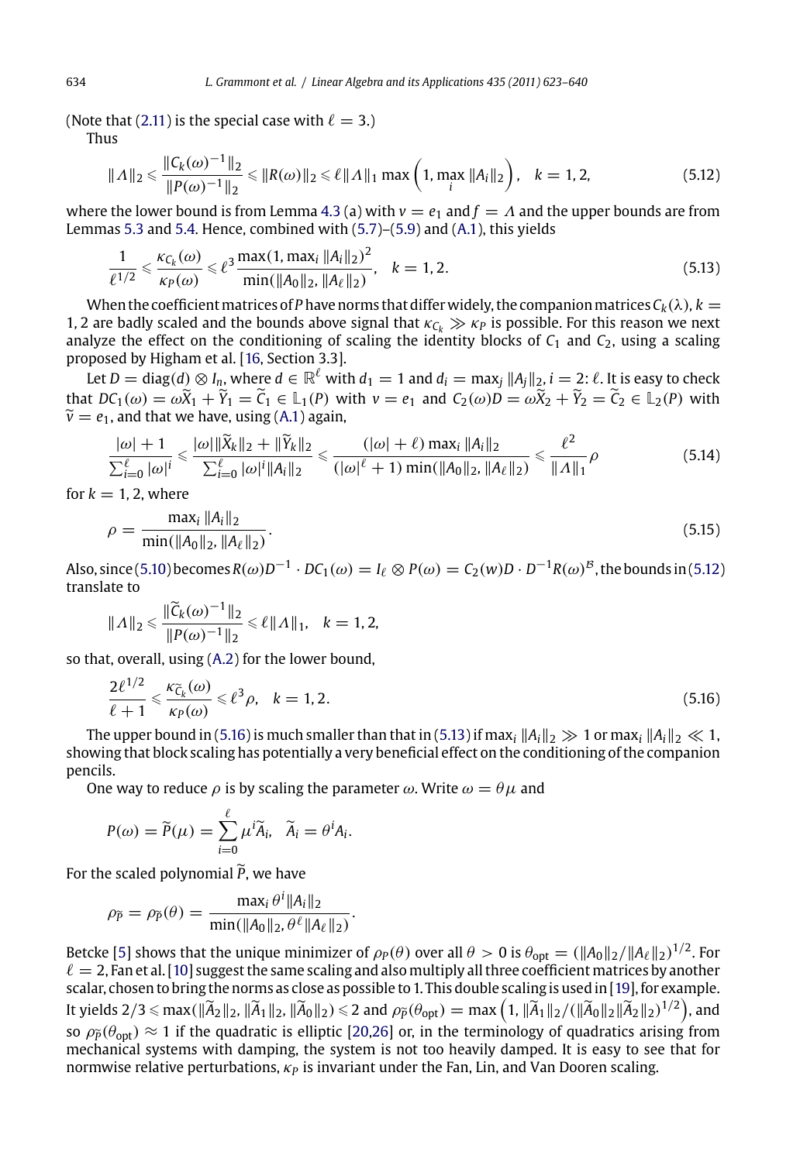(Note that (2.11) is the special case with  $\ell = 3$ .)

Thus

$$
\| \Lambda \|_{2} \leq \frac{\| C_{k}(\omega)^{-1} \|_{2}}{\| P(\omega)^{-1} \|_{2}} \leq \| R(\omega) \|_{2} \leq \ell \| \Lambda \|_{1} \max \left( 1, \max_{i} \| A_{i} \|_{2} \right), \quad k = 1, 2, \tag{5.12}
$$

where the lower bound is from Lemma 4.3 (a) with  $v = e_1$  and  $f = \Lambda$  and the upper bounds are from Lemmas 5.3 and 5.4. Hence, com[bine](#page-16-0)d with (5.7)–(5.9) and (A.1), this yields

$$
\frac{1}{\ell^{1/2}} \leq \frac{\kappa_{C_k}(\omega)}{\kappa_P(\omega)} \leq \ell^3 \frac{\max(1, \max_i \|A_i\|_2)^2}{\min(\|A_0\|_2, \|A_\ell\|_2)}, \quad k = 1, 2.
$$
\n(5.13)

When the coefficient matrices of *P* have norms that differ widely, the companion matrices  $C_k(\lambda)$ *, k* = 1, 2 are badly scaled and the bounds above signal that  $\kappa_{C_k} \gg \kappa_P$  is possible. For this reason we next analyze the effect on the conditioning of scaling the identity blocks of  $C_1$  and  $C_2$ , using a scaling proposed by Higham et al. [16, Section 3.3].

Let  $D=\text{diag}(d)\otimes I_n$  $D=\text{diag}(d)\otimes I_n$  $D=\text{diag}(d)\otimes I_n$ , where  $d\in\mathbb{R}^\ell$  with  $d_1=1$  and  $d_i=\max_j\|A_j\|_2$ ,  $i=2;\ell$ . It is easy to check that  $DC_1(\omega) = \omega \widetilde{X}_1 + \widetilde{Y}_1 = \widetilde{C}_1 \in \mathbb{L}_1(P)$  with  $v = e_1$  and  $C_2(\omega)D = \omega \widetilde{X}_2 + \widetilde{Y}_2 = \widetilde{C}_2 \in \mathbb{L}_2(P)$  with  $\widetilde{v} = e_1$ , and that we have, using (A.1) again,

$$
\frac{|\omega|+1}{\sum_{i=0}^{\ell} |\omega|^i} \leq \frac{|\omega| \|\widetilde{X}_k\|_2 + \|\widetilde{Y}_k\|_2}{\sum_{i=0}^{\ell} |\omega|^i \|A_i\|_2} \leq \frac{(|\omega|+\ell) \max_i \|A_i\|_2}{(|\omega|^{\ell}+1) \min(\|A_0\|_2, \|A_\ell\|_2)} \leq \frac{\ell^2}{\|A\|_1} \rho
$$
\n(5.14)

for  $k = 1, 2$ , where

$$
\rho = \frac{\max_i \|A_i\|_2}{\min(\|A_0\|_2, \|A_\ell\|_2)}.\tag{5.15}
$$

Also, since (5.10) becomes  $R(\omega)D^{-1}\cdot DC_1(\omega)=I_\ell\otimes P(\omega)=C_2(w)D\cdot D^{-1}R(\omega)^{\mathcal{B}}$ , the bounds in (5.12) translate to

$$
\|\Lambda\|_2 \leq \frac{\|\widetilde{C}_k(\omega)^{-1}\|_2}{\|P(\omega)^{-1}\|_2} \leq \ell \|\Lambda\|_1, \quad k = 1, 2,
$$

so that, overall, using (A.2) for the lower bound,

$$
\frac{2\ell^{1/2}}{\ell+1} \leq \frac{\kappa_{\widetilde{C}_k}(\omega)}{\kappa_P(\omega)} \leq \ell^3 \rho, \quad k = 1, 2. \tag{5.16}
$$

The upper bound in (5.16) is much smaller than that in (5.13) if max<sub>i</sub>  $||A_i||_2 \gg 1$  or max<sub>i</sub>  $||A_i||_2 \ll 1$ , showin[g t](#page-16-0)hat block scaling has potentially a very beneficial effect on the conditioning of the companion pencils.

One way to r[edu](#page-16-0)ce  $\rho$  is by scaling the parameter  $\omega$ . Write  $\omega = \theta \mu$  and

$$
P(\omega) = \widetilde{P}(\mu) = \sum_{i=0}^{8} \mu^i \widetilde{A}_i, \quad \widetilde{A}_i = \theta^i A_i.
$$

 $\mathfrak{o}$ 

For the scaled polynomial  $\tilde{P}$ , we have

$$
\rho_{\widetilde{P}} = \rho_{\widetilde{P}}(\theta) = \frac{\max_i \theta^i \|A_i\|_2}{\min(\|A_0\|_2, \theta^{\ell} \|A_{\ell}\|_2)}.
$$

Betcke [5] shows that the unique minimizer of  $\rho_P(\theta)$  over all  $\theta>0$  is  $\theta_{\rm opt}=(\|A_0\|_2/\|A_\ell\|_2)^{1/2}.$  For  $\ell=$  2, Fan et al. [10] suggest the same scaling and also multiply all three coefficient matrices by another scalar, chosen to bring the norms as close as possible to 1. This double scaling is used in [19], for example. It yields  $2/3 \le \max(\|\widetilde{A}_2\|_2, \|\widetilde{A}_1\|_2, \|\widetilde{A}_0\|_2) \le 2$  and  $\rho_{\widetilde{P}}(\theta_{\text{opt}}) = \max(1, \|\widetilde{A}_1\|_2 / (\|\widetilde{A}_0\|_2 \|\widetilde{A}_2\|_2)^{1/2}),$  and so  $\rho_{\tilde{p}}(\theta_{opt}) \approx 1$  if the quadratic is elliptic [20,26] or, in the terminology of quadratics arising from mechanical systems with damping, the system is not too heavily damped. It is easy to see that for normwise relative perturbations,  $\kappa_P$  is invariant under the Fan, Lin, and Van Dooren scaling.

<span id="page-11-0"></span>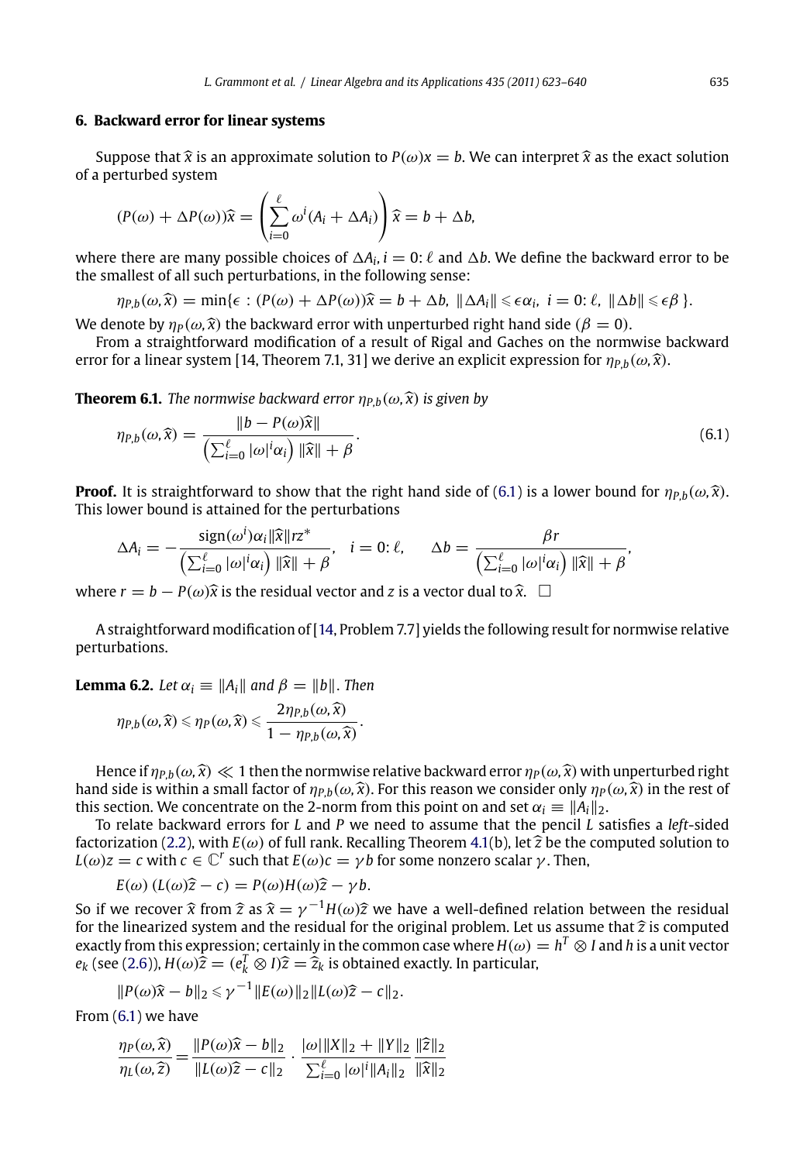## <span id="page-12-0"></span>**6. Backward error for linear systems**

Suppose that  $\hat{x}$  is an approximate solution to  $P(\omega)x = b$ . We can interpret  $\hat{x}$  as the exact solution of a perturbed system

$$
(P(\omega) + \Delta P(\omega))\hat{x} = \left(\sum_{i=0}^{\ell} \omega^{i} (A_i + \Delta A_i)\right)\hat{x} = b + \Delta b,
$$

where there are many possible choices of  $\Delta A_i$ ,  $i = 0$ :  $\ell$  and  $\Delta b$ . We define the backward error to be the smallest of all such perturbations, in the following sense:

 $\eta_{P,b}(\omega,\hat{x}) = \min\{\epsilon : (P(\omega) + \Delta P(\omega))\hat{x} = b + \Delta b, \ \|\Delta A_i\| \leq \epsilon \alpha_i, \ i = 0: \ell, \ \|\Delta b\| \leq \epsilon \beta\}.$ 

We denote by  $\eta_P(\omega, \hat{x})$  the backward error with unperturbed right hand side ( $\beta = 0$ ).

From a straightforward modification of a result of Rigal and Gaches on the normwise backward error for a linear system [14, Theorem 7.1, 31] we derive an explicit expression for  $\eta_{P,b}(\omega,\hat{x})$ .

**Theorem 6.1.** *The normwise backward error*  $\eta_{P,b}(\omega,\hat{x})$  *is given by* 

$$
\eta_{P,b}(\omega,\widehat{x}) = \frac{\|b - P(\omega)\widehat{x}\|}{\left(\sum_{i=0}^{\ell} |\omega|^i \alpha_i\right) \|\widehat{x}\| + \beta}.
$$
\n(6.1)

**Proof.** It is straightforward to show that the right hand side of (6.1) is a lower bound for  $\eta_{P,b}(\omega,\hat{x})$ . This lower bound is attained for the perturbations

$$
\Delta A_i = -\frac{\text{sign}(\omega^i)\alpha_i \|\widehat{\mathbf{x}}\|r z^*}{\left(\sum_{i=0}^\ell |\omega|^i \alpha_i\right) \|\widehat{\mathbf{x}}\| + \beta}, \quad i = 0; \ell, \qquad \Delta b = \frac{\beta r}{\left(\sum_{i=0}^\ell |\omega|^i \alpha_i\right) \|\widehat{\mathbf{x}}\| + \beta}
$$

where *r* = *b* − *P*( $\omega$ ) $\hat{x}$  is the residual vector and *z* is a vector dual to  $\hat{x}$ .  $\Box$ 

A straightforward modification of [14, Problem 7.7] yields the following result for normwise relative perturbations[.](#page-2-0)

**Lemma 6.2.** *Let*  $\alpha_i \equiv ||A_i||$  *and*  $\beta = ||b||$ *. Then* 

$$
\eta_{P,b}(\omega,\widehat{x}) \leqslant \eta_P(\omega,\widehat{x}) \leqslant \frac{2\eta_{P,b}(\omega,\widehat{x})}{1-\eta_{P,b}(\omega,\widehat{x})}.
$$

Hen[ce if](#page-3-0)  $\eta_{P,b}(\omega,\hat{x}) \ll 1$  then the normwise relative backward error  $\eta_P(\omega,\hat{x})$  with unperturbed right hand side is within a small factor of  $\eta_{P,b}(\omega,\hat{x})$ . For this reason we consider only  $\eta_P(\omega,\hat{x})$  in the rest of this section. We concentrate on the 2-norm from this point on and set  $\alpha_i \equiv ||A_i||_2$ .

To relate backward errors for *L* and *P* we need to assume that the pencil *L* satisfies a *left*-sided factorization (2.2), with  $E(\omega)$  of full rank. Recalling Theorem 4.1(b), let  $\widehat{z}$  be the computed solution to *L*( $\omega$ )*z* = *c* with *c*  $\in \mathbb{C}^r$  such that *E*( $\omega$ )*c* =  $\gamma$ *b* for some nonzero scalar  $\gamma$ . Then,

$$
E(\omega) (L(\omega)\widehat{z} - c) = P(\omega)H(\omega)\widehat{z} - \gamma b.
$$

So if we recover  $\hat{x}$  from  $\hat{z}$  as  $\hat{x} = \gamma^{-1}H(\omega)\hat{z}$  we have a well-defined relation between the residual for the gridual for the gridual problem. Let us assume that  $\hat{z}$  is computed for the linearized system and the residual for the original problem. Let us assume that  $\hat{z}$  is computed exactly from this expression; certainly in the common case where  $H(\omega) = h^T \otimes I$  and  $h$  is a unit vector  $e_k$  (see (2.6)),  $H(\omega)\hat{\overline{z}} = (e_k^T \otimes I)\hat{z} = \hat{z}_k$  is obtained exactly. In particular,

$$
||P(\omega)\widehat{x}-b||_2 \leq \gamma^{-1}||E(\omega)||_2||L(\omega)\widehat{z}-c||_2.
$$

From (6.1) we have

$$
\frac{\eta_P(\omega,\widehat{x})}{\eta_L(\omega,\widehat{z})} = \frac{\|P(\omega)\widehat{x} - b\|_2}{\|L(\omega)\widehat{z} - c\|_2} \cdot \frac{|\omega|\|X\|_2 + \|Y\|_2}{\sum_{i=0}^{\ell} |\omega|^i \|A_i\|_2} \frac{\|\widehat{z}\|_2}{\|\widehat{x}\|_2}
$$

*,*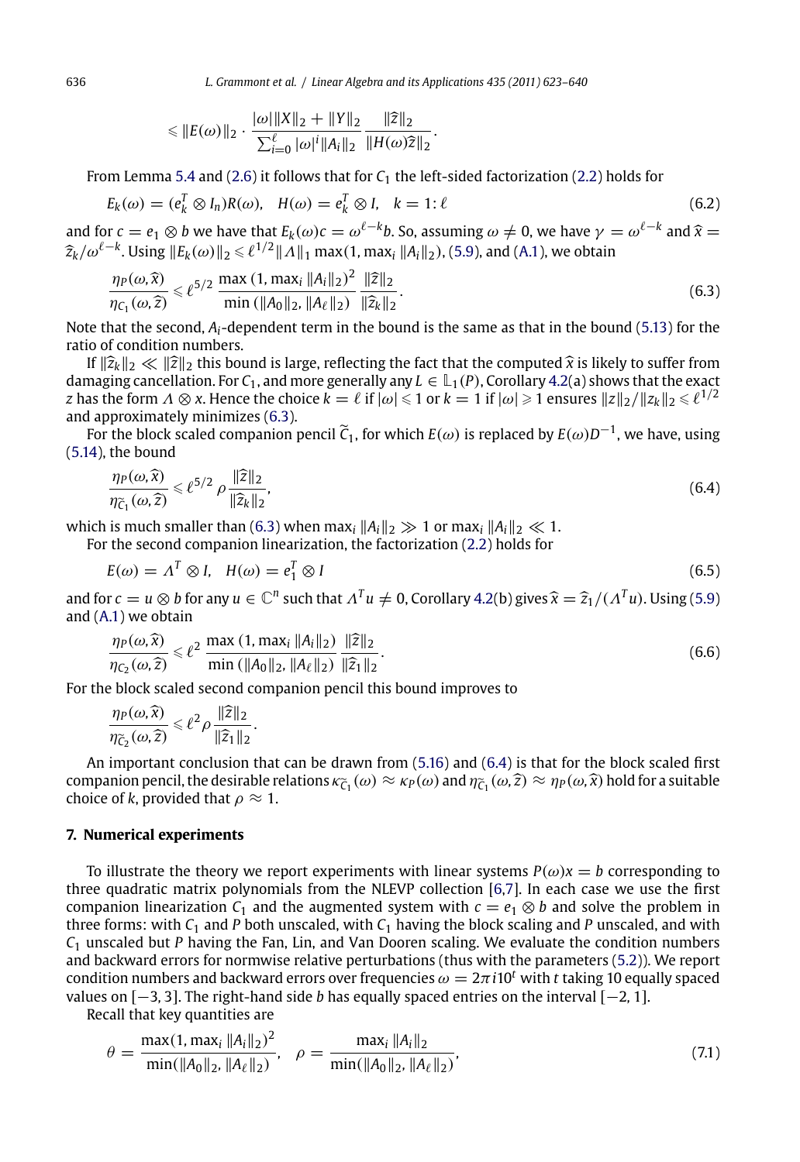$$
\leq \|E(\omega)\|_2 \cdot \frac{|\omega|\|X\|_2 + \|Y\|_2}{\sum_{i=0}^{\ell} |\omega|^i \|A_i\|_2} \frac{\|\widehat{z}\|_2}{\|H(\omega)\widehat{z}\|_2}.
$$

From Lemma 5.4 and (2.6) it follows that for *C*<sup>1</sup> the left-sided factorization (2.2) holds for

$$
E_k(\omega) = (e_k^T \otimes I_n)R(\omega), \quad H(\omega) = e_k^T \otimes I, \quad k = 1: \ell
$$
\n(6.2)

and for  $c = e_1 \otimes b$  we have that  $E_k(\omega)c = \omega^{\ell-k}b$ . So, assuming  $\omega \neq 0$ , we have  $\gamma = \omega^{\ell-k}$  and  $\hat{\chi} = \hat{\chi} + \hat{f} - k$ . We have  $\hat{\chi} = \hat{f} + \hat{f} + k$ . We have  $\hat{\chi} = \hat{f} + \hat{f} + k$ . We have  $\hat{\chi} = \hat{f} + \hat{f} + k$ . We ha  $\widehat{z}_k/\omega^{\ell-k}$ . Using  $||E_k(\omega)||_2 \le \ell^{1/2}||\Lambda||_1 \max(1, \max_i ||A_i||_2)$ , (5.9), and (A.1), we obtain

$$
\frac{\eta_P(\omega,\widehat{x})}{\eta_{C_1}(\omega,\widehat{z})} \leq \ell^{5/2} \frac{\max(1,\max_i \|A_i\|_2)^2}{\min(\|A_0\|_2,\|A_\ell\|_2)} \frac{\|\widehat{z}\|_2}{\|\widehat{z}_k\|_2}.
$$
\n(6.3)

Note that the second, *Ai*-dependent term in the bound is the same as that in the bound (5.13) for the ratio of condition numbers.

If  $\|\hat{z}_k\|_2 \ll \|\hat{z}\|_2$  $\|\hat{z}_k\|_2 \ll \|\hat{z}\|_2$  $\|\hat{z}_k\|_2 \ll \|\hat{z}\|_2$  this bound is large, reflecting [the](#page-2-0) fact that the computed  $\hat{x}$  is likely to suffer from damaging cancellation. For  $C_1$ , and more generally any  $L \in L_1(P)$ , Corollary 4.2(a) shows that the exact *z* has the form  $\Lambda\otimes\chi$ . Hence the choice  $k=\ell$  if  $|\omega|\leqslant 1$  or  $k=1$  if  $|\omega|\geqslant 1$  ensures  $\|z\|_2/\|z_k\|_2\leqslant \ell^{1/2}$ and [appr](#page-16-0)oximately minimizes (6.3).

For the block scaled companion pencil *C*1, for which *<sup>E</sup>*(ω) is replaced by *<sup>E</sup>*(ω)*D*−1, we have, using (5.14), the bound

$$
\frac{\eta_P(\omega,\widehat{x})}{\eta_{\widetilde{C}_1}(\omega,\widehat{z})} \leqslant \ell^{5/2} \rho \frac{\|\widehat{z}\|_2}{\|\widehat{z}_k\|_2},\tag{6.4}
$$

which is much smaller than (6.3) when max<sub>i</sub>  $||A_i||_2 \gg 1$  or max<sub>i</sub>  $||A_i||_2 \ll 1$ .

For the second companion linearization, the factorization (2.2) holds for

$$
E(\omega) = \Lambda^T \otimes I, \quad H(\omega) = e_1^T \otimes I \tag{6.5}
$$

and for  $c = u \otimes b$  for any  $u \in \mathbb{C}^n$  such that  $\Lambda^T u \neq 0$ , Corollary 4.2(b) gives  $\hat{x} = \hat{z}_1/(\Lambda^T u)$ . Using (5.9) and (A.1) we obtain

$$
\frac{\eta_P(\omega,\hat{x})}{\eta_{C_2}(\omega,\hat{z})} \leq \ell^2 \frac{\max (1, \max_i \|A_i\|_2)}{\min (\|A_0\|_2, \|A_\ell\|_2)} \frac{\|\hat{z}\|_2}{\|\hat{z}_1\|_2}.
$$
\n(6.6)

For the block scaled second companion pencil this bound improv[es to](#page-16-0)

$$
\frac{\eta_P(\omega,\widehat{x})}{\eta_{\widetilde{C}_2}(\omega,\widehat{z})}\leq \ell^2\rho\,\frac{\|\widehat{z}\|_2}{\|\widehat{z}_1\|_2}.
$$

An important conclusion that can be drawn from (5.16) and (6.4) is that for the [block](#page-9-0) scaled first companion pencil, the desirable relations  $\kappa_{\tilde{C}_1}(\omega) \approx \kappa_P(\omega)$  and  $\eta_{\tilde{C}_1}(\omega,\tilde{z}) \approx \eta_P(\omega,\tilde{x})$  hold for a suitable choice of *k*, provided that  $\rho \approx 1$ .

## **7. Numerical experiments**

To illustrate the theory we report experiments with linear systems  $P(\omega)x = b$  corresponding to three quadratic matrix polynomials from the NLEVP collection [6,7]. In each case we use the first companion linearization  $C_1$  and the augmented system with  $c = e_1 \otimes b$  and solve the problem in three forms: with  $C_1$  and  $P$  both unscaled, with  $C_1$  having the block scaling and  $P$  unscaled, and with *C*<sup>1</sup> unscaled but *P* having the Fan, Lin, and Van Dooren scaling. We evaluate the condition numbers and backward errors for normwise relative perturbations (thus with the parameters (5.2)). We report condition numbers and backward errors over frequencies  $\omega = 2\pi i 10^t$  with t taking 10 equally spaced values on [−3*,* 3]. The right-hand side *b* has equally spaced entries on the interval [−2*,* 1].

Recall that key quantities are

$$
\theta = \frac{\max(1, \max_i \|A_i\|_2)^2}{\min(\|A_0\|_2, \|A_\ell\|_2)}, \quad \rho = \frac{\max_i \|A_i\|_2}{\min(\|A_0\|_2, \|A_\ell\|_2)},\tag{7.1}
$$

<span id="page-13-0"></span>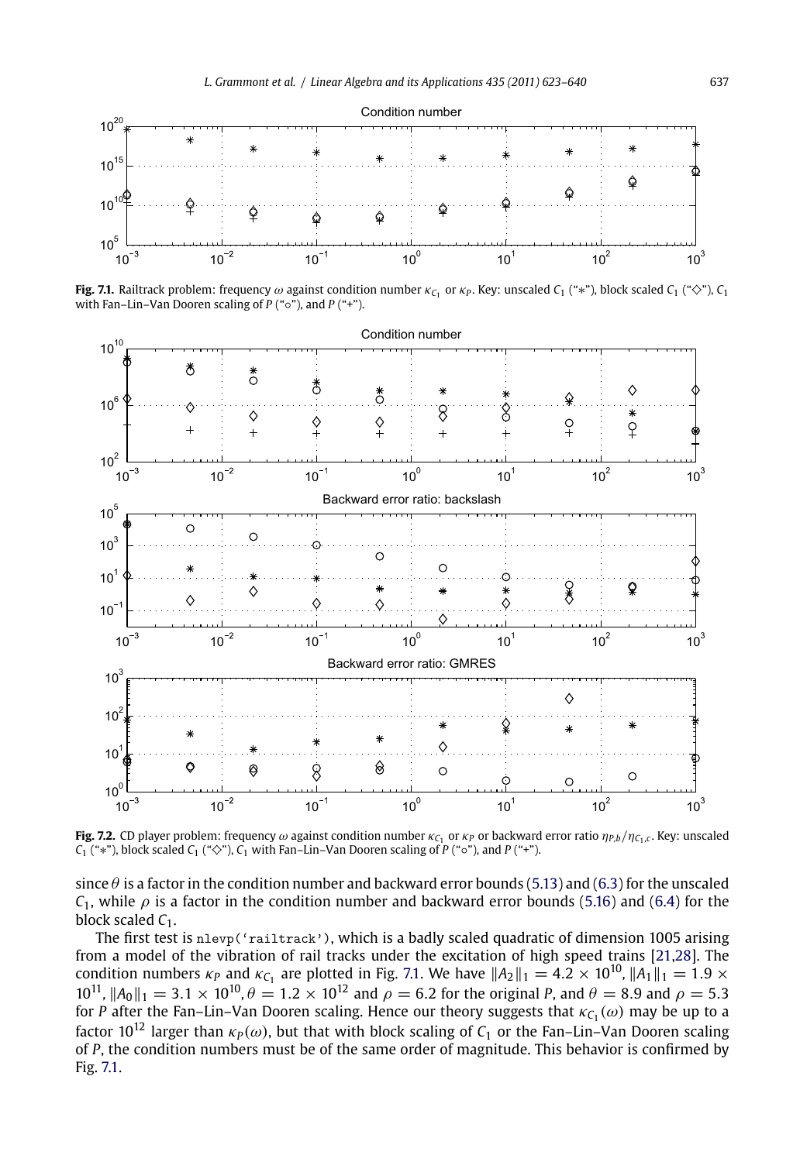



**Fig. 7.1.** Railtrack problem: frequency  $\omega$  against condition number  $\kappa_{C_1}$  or  $\kappa_P$ . Key: unscaled  $C_1$  ("\*"), block scaled  $C_1$  (" $\diamond$ "),  $C_1$ with Fan–Lin–Van Dooren scaling of *P* ("◦"), and *P* ("+").



**Fig. 7.2.** CD player problem: frequency  $\omega$  against condition number  $\kappa_{C_1}$  or  $\kappa_P$  or backward error ratio  $\eta_{P,b}/\eta_{C_1,c}$ . Key: unscaled  $C_1$  ("∗"), block scaled  $C_1$  (" $\diamond$ "),  $C_1$  with Fan–Lin–Van Dooren scaling of *P* (" $\diamond$ "), and *P* ("+").

since  $\theta$  is a factor in the condition number and backward error bounds (5.13) and (6.3) for the unscaled *C*<sub>1</sub>, while  $\rho$  is a factor in the condition number and backward error bounds (5.16) and (6.4) for the block scaled  $C_1$ .

The first test is nlevp('railtrack'), which is a badly scaled quadratic of dimension 1005 arising from a model of the vibration of rail tracks under the excitation of high speed trains [21,28]. The condition numbers  $\kappa_P$  and  $\kappa_{C_1}$  are plotted in Fig. 7.1. We have  $||A_2||_1 = 4.2 \times 10^{10}$ ,  $||A_1||_1 = 1.9 \times 10^{10}$  $10^{11}$ ,  $||A_0||_1 = 3.1 \times 10^{10}$ ,  $\theta = 1.2 \times 10^{12}$  and  $\rho = 6.2$  for the original *P*, and  $\theta = 8.9$  and  $\rho = 5.3$ for *P* after the Fan–Lin–Van Dooren scaling. Hence our theory suggests that  $\kappa_{C_1}(\omega)$  may be up to a factor 10<sup>12</sup> larger than  $\kappa_P(\omega)$ , but that with block scaling of  $C_1$  or the Fan–Lin–Van Dooren scaling of *P*, the condition numbers must be of the same order of magnitude. This behavior is confirmed by Fig. 7.1.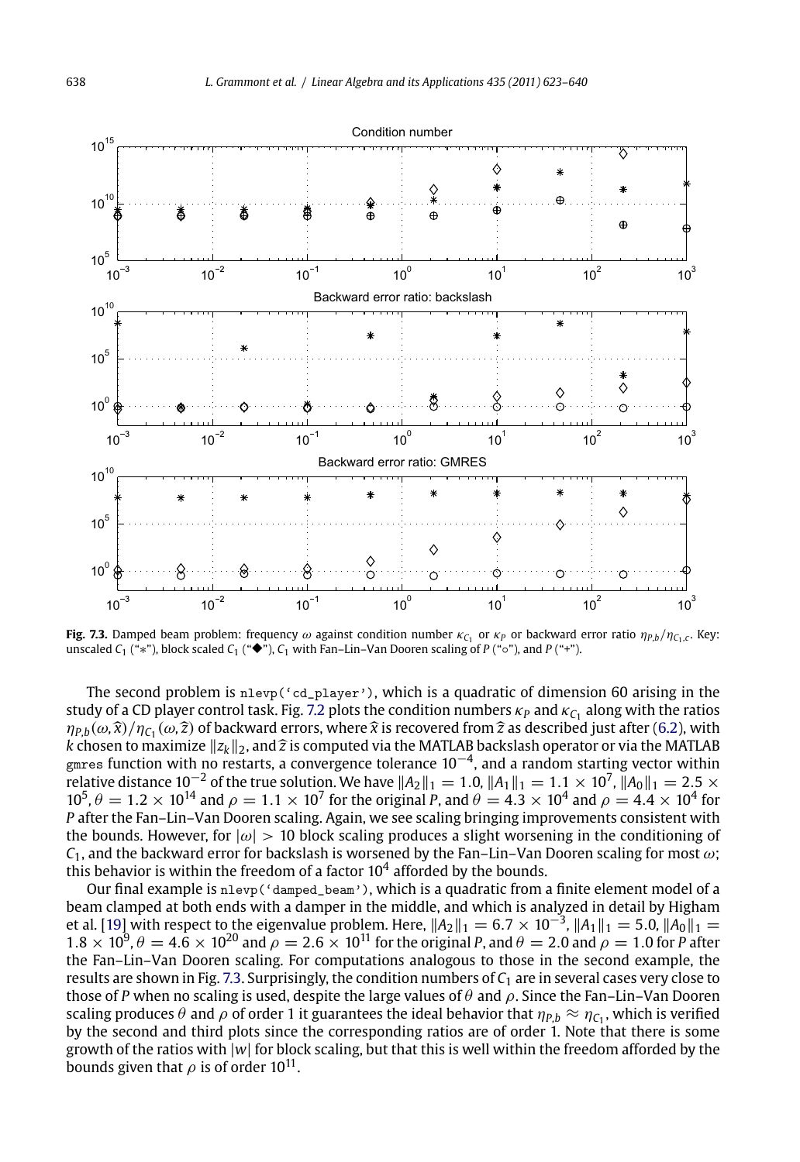



**Fig. 7.3.** Damped beam problem: frequency  $\omega$  against condition number  $\kappa_{C_1}$  or  $\kappa_P$  or backward error ratio  $\eta_{P,b}/\eta_{C_1,c}$ . Key: unscaled  $C_1$  ("\*"), block scaled  $C_1$  ("◆"),  $C_1$  with Fan–Lin–Van Dooren scaling of  $P$  (" $\circ$ "), and  $P$  ("+").

The second problem is nlevp('cd\_player'), which is a quadratic of dimension 60 arising in the study of a CD player control task. Fig. 7.2 plots the condition numbers  $\kappa_P$  and  $\kappa_{C_1}$  along with the ratios  $\eta_{P,b}(\omega,\hat{x})/\eta_{C_1}(\omega,\hat{z})$  of backward errors, where  $\hat{x}$  is recovered from  $\hat{z}$  as described just after (6.2), with *k* chosen to maximize  $||z_k||_2$ , and  $\hat{z}$  is computed via the MATLAB backslash operator or via *k* chosen to maximize ||z<sub>k</sub>||<sub>2</sub>, and  $\widehat{z}$  is computed via the MATLAB backslash operator or via the MATLAB<br>gmres function with no restarts, a convergence tolerance 10<sup>−4</sup>, and a random starting vector within relative distance 10<sup>−2</sup> of the true solution. We have  $\|A_2\|_1=1.0$ ,  $\|A_1\|_1=1.1\times 10^7$ ,  $\|A_0\|_1=2.5\times$  $10^5$ ,  $\theta = 1.2 \times 10^{14}$  and  $\rho = 1.1 \times 10^7$  for the original P, and  $\theta = 4.3 \times 10^4$  and  $\rho = 4.4 \times 10^4$  for *P* after the Fan–Lin–Van Dooren scaling. Again, we see scaling bringing improvements consistent with the bounds. However, for  $|\omega| > 10$  block scaling produces a slight worsening in the conditioning of  $C_1$ , and the backward error for backslash is worsened by the Fan–Lin–Van Dooren scaling for most  $\omega$ ; this behavior is within the freedom of a factor  $10^4$  afforded by the bounds.

Our final example is nlevp('damped\_beam'), which is a quadratic from a finite element model of a beam clamped at both ends with a damper in the middle, and which is analyzed in detail by Higham et al. [19] with respect to the eigenvalue problem. Here,  $||A_2||_1 = 6.7 \times 10^{-3}$ ,  $||A_1||_1 = 5.0$ ,  $||A_0||_1 =$  $1.8 \times 10^9$ ,  $\theta = 4.6 \times 10^{20}$  and  $\rho = 2.6 \times 10^{11}$  for the original *P*, and  $\theta = 2.0$  and  $\rho = 1.0$  for *P* after the Fan–Lin–Van Dooren scaling. For computations analogous to those in the second example, the results are shown in Fig. 7.3. Surprisingly, the condition numbers of *C*<sup>1</sup> are in several cases very close to those of *P* when no scaling is used, despite the large values of  $\theta$  and  $\rho$ . Since the Fan–Lin–Van Dooren scaling produces  $\theta$  and  $\rho$  of order 1 it guarantees the ideal behavior that  $\eta_{P,b} \approx \eta_{C_1}$ , which is verified by the second and third plots since the corresponding ratios are of order 1. Note that there is some growth of the ratios with |*w*| for block scaling, but that this is well within the freedom afforded by the bounds given that  $\rho$  is of order 10<sup>11</sup>.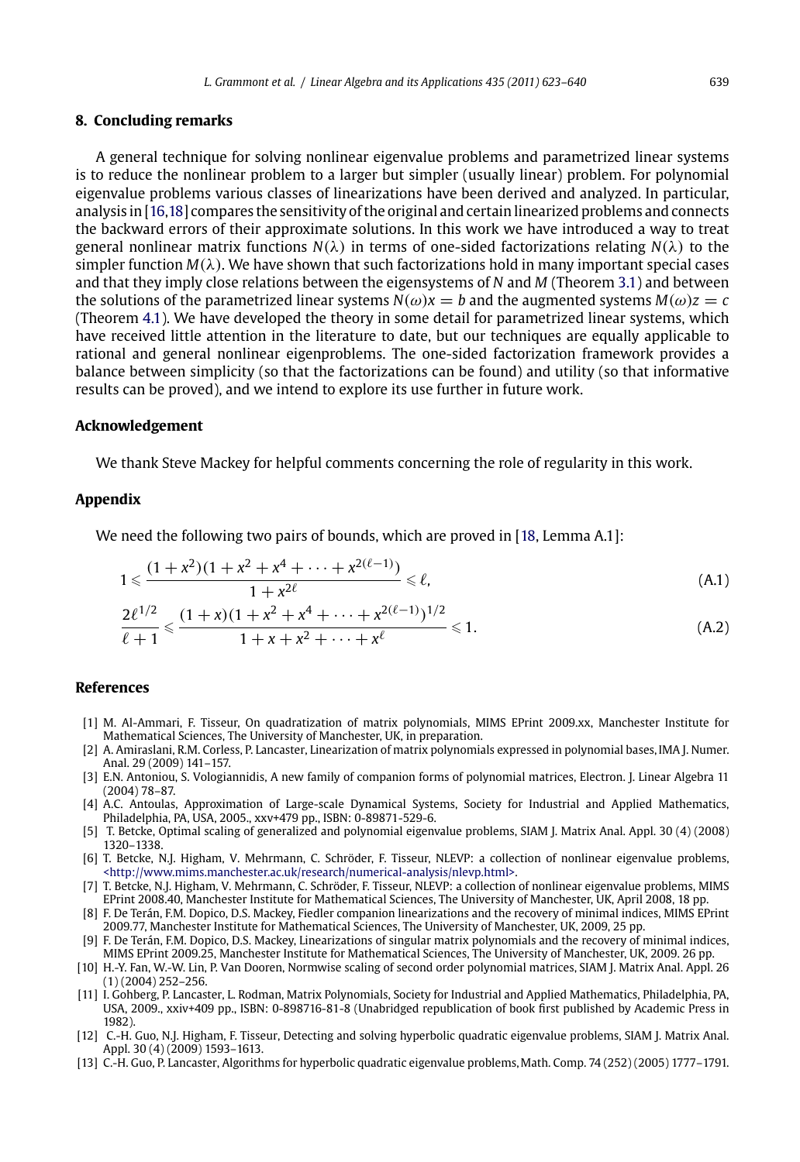## <span id="page-16-0"></span>**8. Conclu[din](#page-8-0)g remarks**

A general technique for solving nonlinear eigenvalue problems and parametrized linear systems is to reduce the nonlinear problem to a larger but simpler (usually linear) problem. For polynomial eigenvalue problems various classes of linearizations have been derived and analyzed. In particular, analysis in [16,18] compares the sensitivity of the original and certain linearized problems and connects the backward errors of their approximate solutions. In this work we have introduced a way to treat general nonlinear matrix functions *N*(λ) in terms of one-sided factorizations relating *N*(λ) to the simpler function  $M(\lambda)$ . We have shown that such factorizations hold in many important special cases and that they imply close relations between the eigensystems of *N* and *M* (Theorem 3.1) and between the solutions of the parametrized linear systems  $N(\omega)x = b$  and the augmented systems  $M(\omega)z = c$ (Theorem 4.1). We have developed the theory in some detail for parametrized linear systems, which have received little attention in the literature to date, but our tec[hniq](#page-17-0)ues are equally applicable to rational and general nonlinear eigenproblems. The one-sided factorization framework provides a balance between simplicity (so that the factorizations can be found) and utility (so that informative results can be proved), and we intend to explore its use further in future work.

## **Acknowledgement**

We thank Steve Mackey for helpful comments concerning the role of regularity in this work.

#### **Appendix**

We need the following two pairs of bounds, which are proved in [18, Lemma A.1]:

$$
1 \leq \frac{(1+x^2)(1+x^2+x^4+\dots+x^{2(\ell-1)})}{1+x^{2\ell}} \leq \ell,
$$
\n(A.1)

$$
\frac{2\ell^{1/2}}{\ell+1} \leq \frac{(1+x)(1+x^2+x^4+\cdots+x^{2(\ell-1)})^{1/2}}{1+x+x^2+\cdots+x^{\ell}} \leq 1.
$$
 (A.2)

#### **Ref[erences](http://www.mims.manchester.ac.uk/research/numerical-analysis/nlevp.html)**

- [1] M. Al-Ammari, F. Tisseur, On quadratization of matrix polynomials, MIMS EPrint 2009.xx, Manchester Institute for Mathematical Sciences, The University of Manchester, UK, in preparation.
- [2] A. Amiraslani, R.M. Corless, P. Lancaster, Linearization of matrix polynomials expressed in polynomial bases, IMA J. Numer. Anal. 29 (2009) 141–157.
- [3] E.N. Antoniou, S. Vologiannidis, A new family of companion forms of polynomial matrices, Electron. J. Linear Algebra 11 (2004) 78–87.
- [4] A.C. Antoulas, Approximation of Large-scale Dynamical Systems, Society for Industrial and Applied Mathematics, Philadelphia, PA, USA, 2005., xxv+479 pp., ISBN: 0-89871-529-6.
- [5] T. Betcke, Optimal scaling of generalized and polynomial eigenvalue problems, SIAM J. Matrix Anal. Appl. 30 (4) (2008) 1320–1338.
- [6] T. Betcke, N.J. Higham, V. Mehrmann, C. Schröder, F. Tisseur, NLEVP: a collection of nonlinear eigenvalue problems, <http://www.mims.manchester.ac.uk/research/numerical-analysis/nlevp.html>.
- [7] T. Betcke, N.J. Higham, V. Mehrmann, C. Schröder, F. Tisseur, NLEVP: a collection of nonlinear eigenvalue problems, MIMS EPrint 2008.40, Manchester Institute for Mathematical Sciences, The University of Manchester, UK, April 2008, 18 pp.
- [8] F. De Terán, F.M. Dopico, D.S. Mackey, Fiedler companion linearizations and the recovery of minimal indices, MIMS EPrint 2009.77, Manchester Institute for Mathematical Sciences, The University of Manchester, UK, 2009, 25 pp.
- [9] F. De Terán, F.M. Dopico, D.S. Mackey, Linearizations of singular matrix polynomials and the recovery of minimal indices, MIMS EPrint 2009.25, Manchester Institute for Mathematical Sciences, The University of Manchester, UK, 2009. 26 pp.
- [10] H.-Y. Fan, W.-W. Lin, P. Van Dooren, Normwise scaling of second order polynomial matrices, SIAM J. Matrix Anal. Appl. 26 (1) (2004) 252–256.
- [11] I. Gohberg, P. Lancaster, L. Rodman, Matrix Polynomials, Society for Industrial and Applied Mathematics, Philadelphia, PA, USA, 2009., xxiv+409 pp., ISBN: 0-898716-81-8 (Unabridged republication of book first published by Academic Press in 1982).
- [12] C.-H. Guo, N.J. Higham, F. Tisseur, Detecting and solving hyperbolic quadratic eigenvalue problems, SIAM J. Matrix Anal. Appl. 30 (4) (2009) 1593–1613.
- [13] C.-H. Guo, P. Lancaster, Algorithms for hyperbolic quadratic eigenvalue problems,Math. Comp. 74 (252) (2005) 1777–1791.